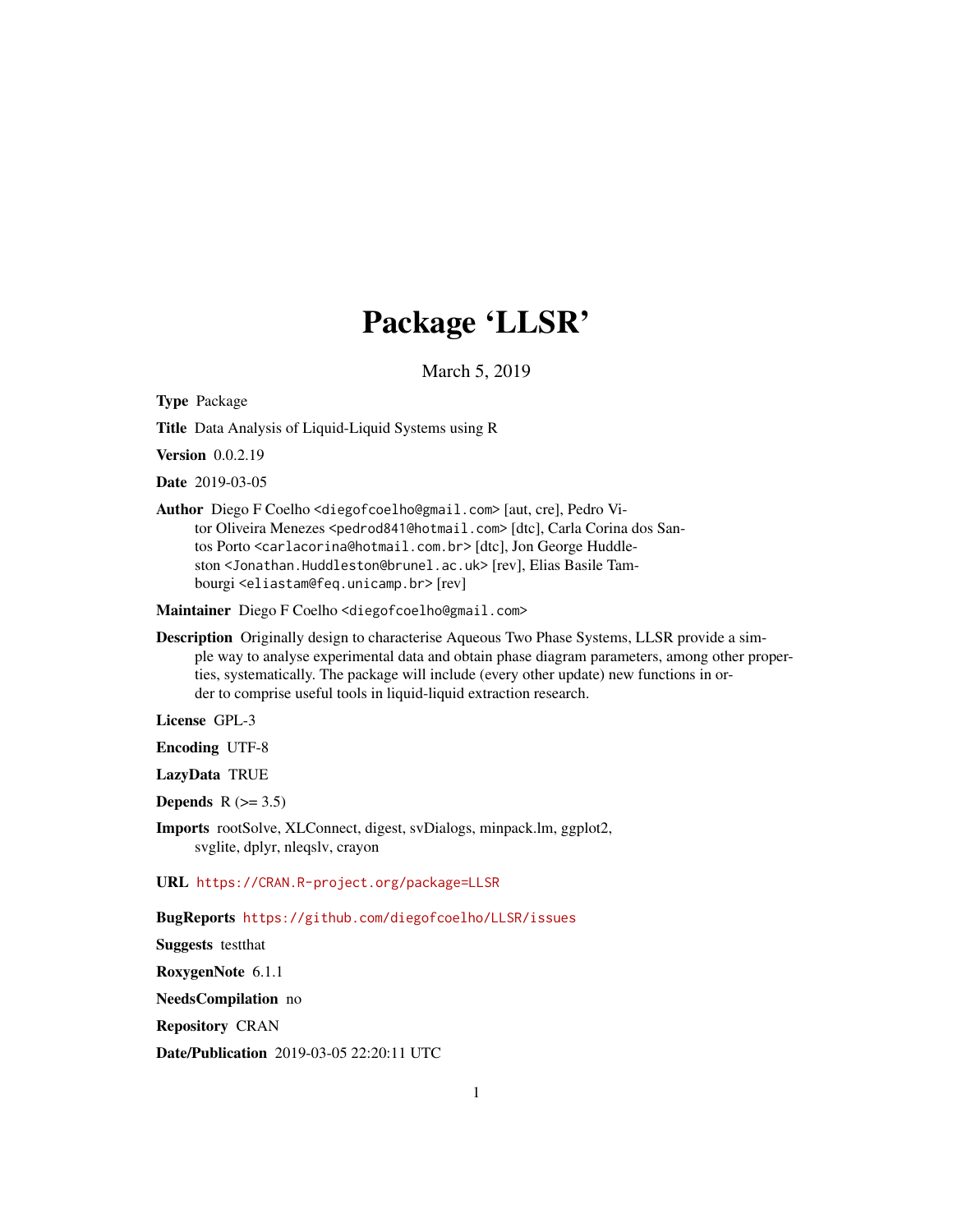## Package 'LLSR'

March 5, 2019

<span id="page-0-0"></span>Type Package

Title Data Analysis of Liquid-Liquid Systems using R

Version 0.0.2.19

Date 2019-03-05

Author Diego F Coelho <diegofcoelho@gmail.com> [aut, cre], Pedro Vitor Oliveira Menezes <pedrod841@hotmail.com> [dtc], Carla Corina dos Santos Porto <carlacorina@hotmail.com.br> [dtc], Jon George Huddleston <Jonathan.Huddleston@brunel.ac.uk> [rev], Elias Basile Tambourgi <eliastam@feq.unicamp.br> [rev]

Maintainer Diego F Coelho <diegofcoelho@gmail.com>

Description Originally design to characterise Aqueous Two Phase Systems, LLSR provide a simple way to analyse experimental data and obtain phase diagram parameters, among other properties, systematically. The package will include (every other update) new functions in order to comprise useful tools in liquid-liquid extraction research.

License GPL-3

Encoding UTF-8

LazyData TRUE

**Depends**  $R$  ( $>= 3.5$ )

Imports rootSolve, XLConnect, digest, svDialogs, minpack.lm, ggplot2, svglite, dplyr, nleqslv, crayon

URL <https://CRAN.R-project.org/package=LLSR>

BugReports <https://github.com/diegofcoelho/LLSR/issues>

Suggests testthat

RoxygenNote 6.1.1

NeedsCompilation no

Repository CRAN

Date/Publication 2019-03-05 22:20:11 UTC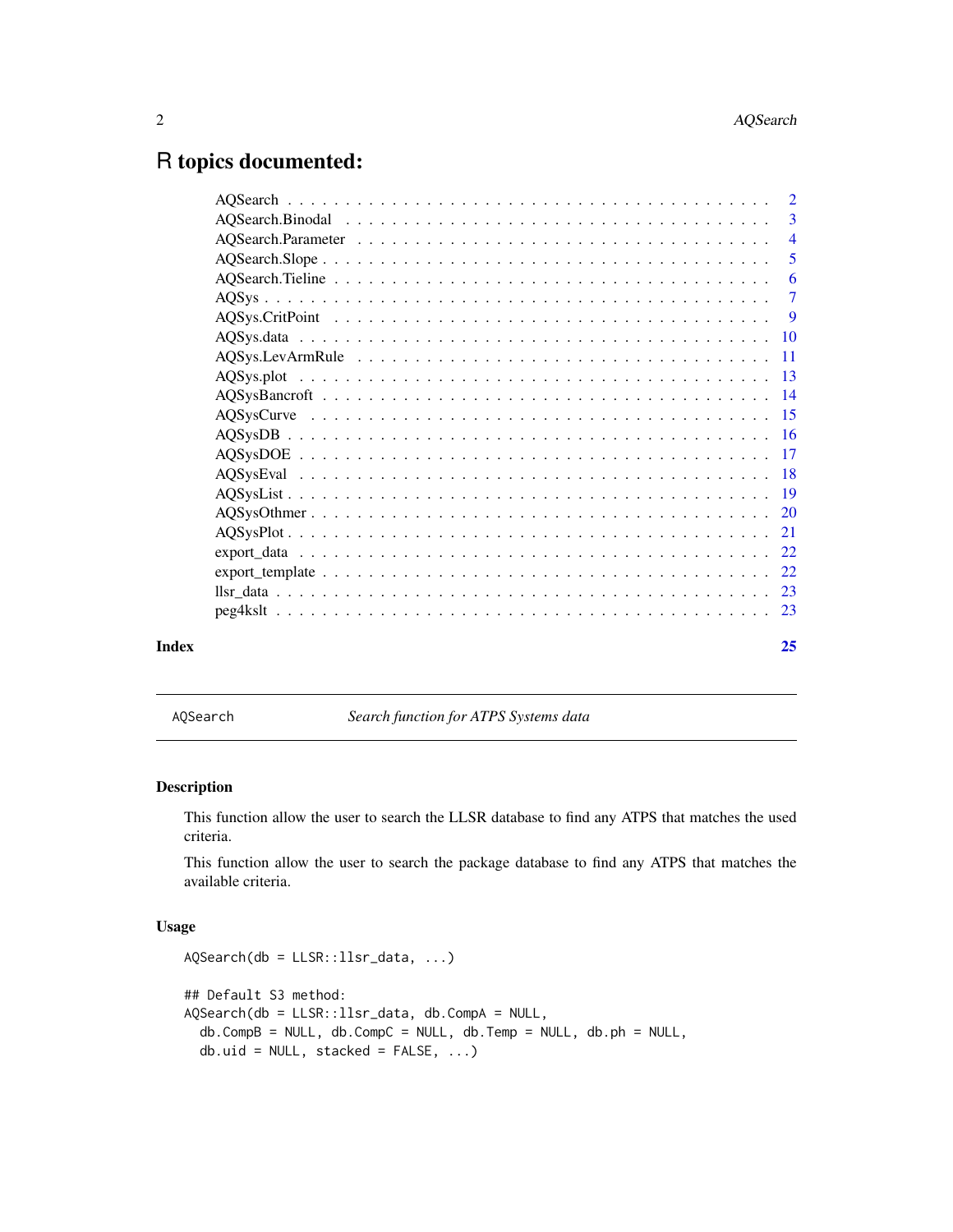## <span id="page-1-0"></span>R topics documented:

| Index | 25 |
|-------|----|
|       |    |
|       |    |
|       |    |
|       |    |
|       |    |
|       |    |
|       |    |
|       |    |
|       |    |
|       |    |
|       |    |
|       |    |
|       |    |
|       |    |
|       |    |
|       |    |
|       | -6 |
|       |    |
|       |    |
|       |    |
|       |    |

AQSearch *Search function for ATPS Systems data*

## Description

This function allow the user to search the LLSR database to find any ATPS that matches the used criteria.

This function allow the user to search the package database to find any ATPS that matches the available criteria.

```
AQSearch(db = LLSR::llsr_data, ...)
## Default S3 method:
AQSearch(db = LLSR::llsr_data, db.CompA = NULL,
 db.CompB = NULL, db.CompC = NULL, db.Temp = NULL, db.ph = NULL,
  db.uid = NULL, stacked = FALSE, ...)
```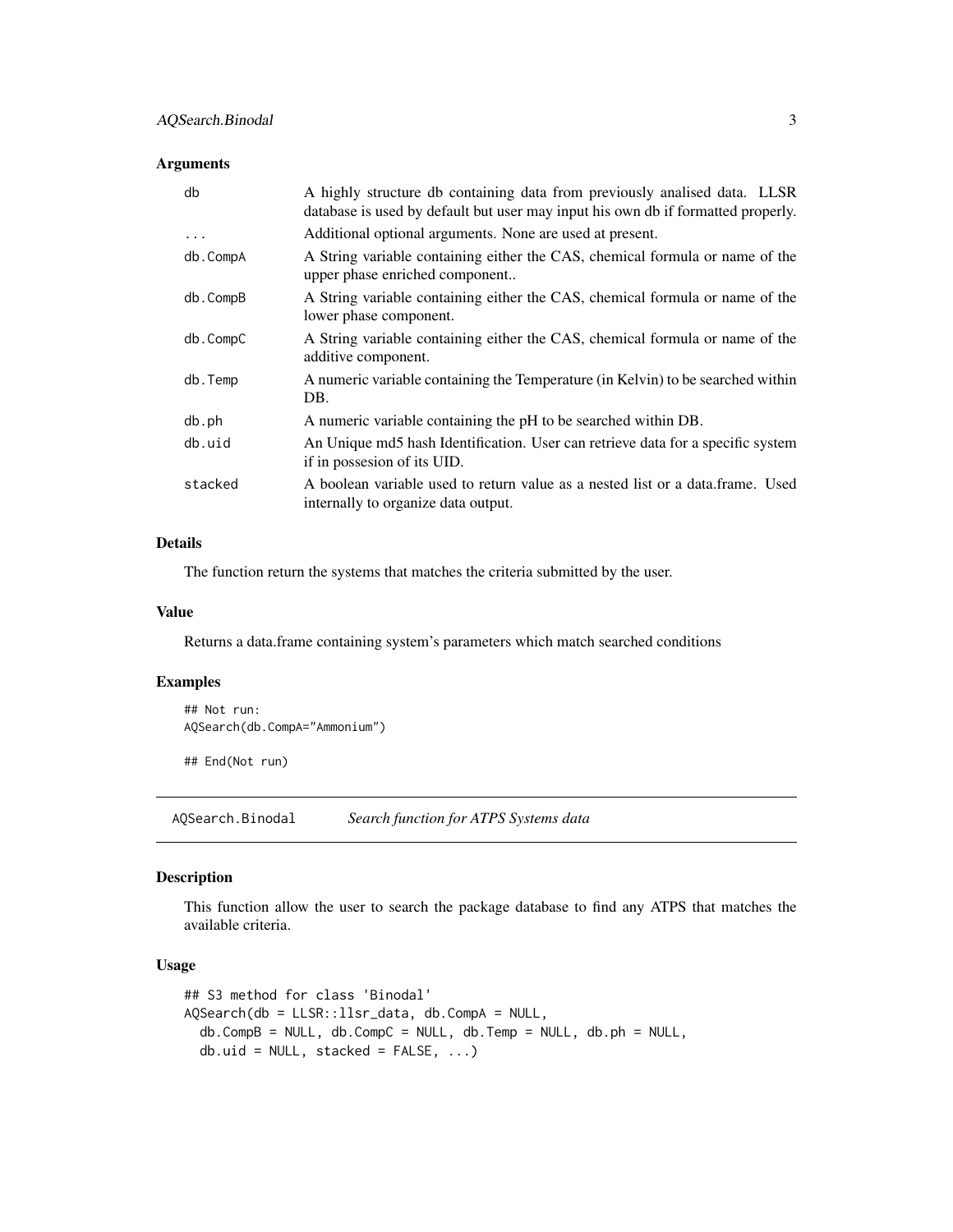<span id="page-2-0"></span>

| db         | A highly structure db containing data from previously analised data. LLSR<br>database is used by default but user may input his own db if formatted properly. |
|------------|---------------------------------------------------------------------------------------------------------------------------------------------------------------|
| $\ddots$ . | Additional optional arguments. None are used at present.                                                                                                      |
| db.CompA   | A String variable containing either the CAS, chemical formula or name of the<br>upper phase enriched component                                                |
| db.CompB   | A String variable containing either the CAS, chemical formula or name of the<br>lower phase component.                                                        |
| db.CompC   | A String variable containing either the CAS, chemical formula or name of the<br>additive component.                                                           |
| db.Temp    | A numeric variable containing the Temperature (in Kelvin) to be searched within<br>DB.                                                                        |
| db.ph      | A numeric variable containing the pH to be searched within DB.                                                                                                |
| db.uid     | An Unique md5 hash Identification. User can retrieve data for a specific system<br>if in possesion of its UID.                                                |
| stacked    | A boolean variable used to return value as a nested list or a data.frame. Used<br>internally to organize data output.                                         |

## Details

The function return the systems that matches the criteria submitted by the user.

#### Value

Returns a data.frame containing system's parameters which match searched conditions

#### Examples

```
## Not run:
AQSearch(db.CompA="Ammonium")
```
## End(Not run)

AQSearch.Binodal *Search function for ATPS Systems data*

#### Description

This function allow the user to search the package database to find any ATPS that matches the available criteria.

```
## S3 method for class 'Binodal'
AQSearch(db = LLSR::llsr_data, db.CompA = NULL,
  db.CompB = NULL, db.CompC = NULL, db.Temp = NULL, db.ph = NULL,
  db.uid = NULL, stacked = FALSE, ...)
```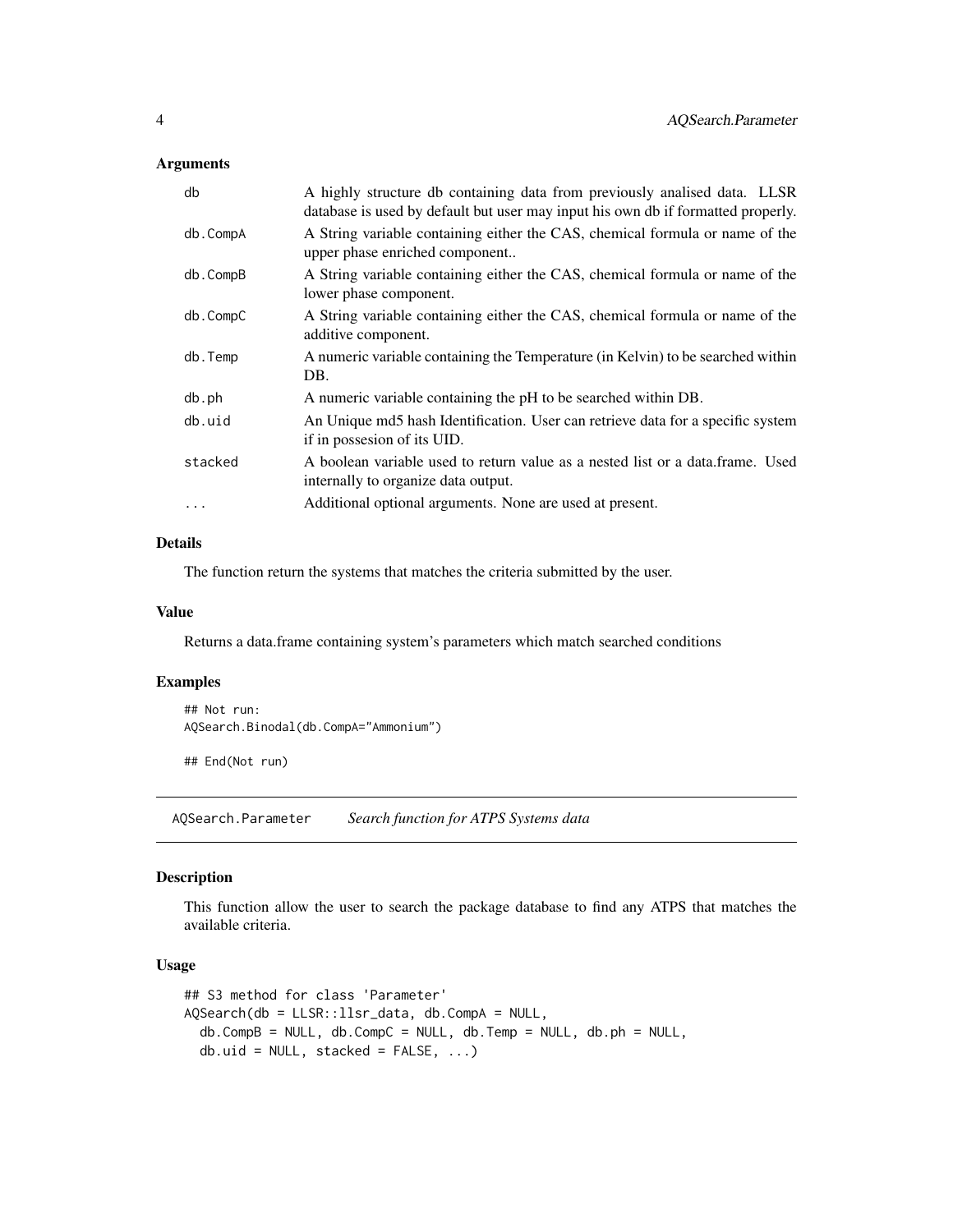<span id="page-3-0"></span>

| db       | A highly structure db containing data from previously analised data. LLSR<br>database is used by default but user may input his own db if formatted properly. |
|----------|---------------------------------------------------------------------------------------------------------------------------------------------------------------|
| db.CompA | A String variable containing either the CAS, chemical formula or name of the<br>upper phase enriched component                                                |
| db.CompB | A String variable containing either the CAS, chemical formula or name of the<br>lower phase component.                                                        |
| db.CompC | A String variable containing either the CAS, chemical formula or name of the<br>additive component.                                                           |
| db.Temp  | A numeric variable containing the Temperature (in Kelvin) to be searched within<br>DB.                                                                        |
| db.ph    | A numeric variable containing the pH to be searched within DB.                                                                                                |
| db.uid   | An Unique md5 hash Identification. User can retrieve data for a specific system<br>if in possesion of its UID.                                                |
| stacked  | A boolean variable used to return value as a nested list or a data frame. Used<br>internally to organize data output.                                         |
| .        | Additional optional arguments. None are used at present.                                                                                                      |
|          |                                                                                                                                                               |

## Details

The function return the systems that matches the criteria submitted by the user.

#### Value

Returns a data.frame containing system's parameters which match searched conditions

#### Examples

```
## Not run:
AQSearch.Binodal(db.CompA="Ammonium")
```
## End(Not run)

AQSearch.Parameter *Search function for ATPS Systems data*

## Description

This function allow the user to search the package database to find any ATPS that matches the available criteria.

```
## S3 method for class 'Parameter'
AQSearch(db = LLSR::llsr_data, db.CompA = NULL,
  db.CompB = NULL, db.CompC = NULL, db.Temp = NULL, db.ph = NULL,
  db.uid = NULL, stacked = FALSE, ...)
```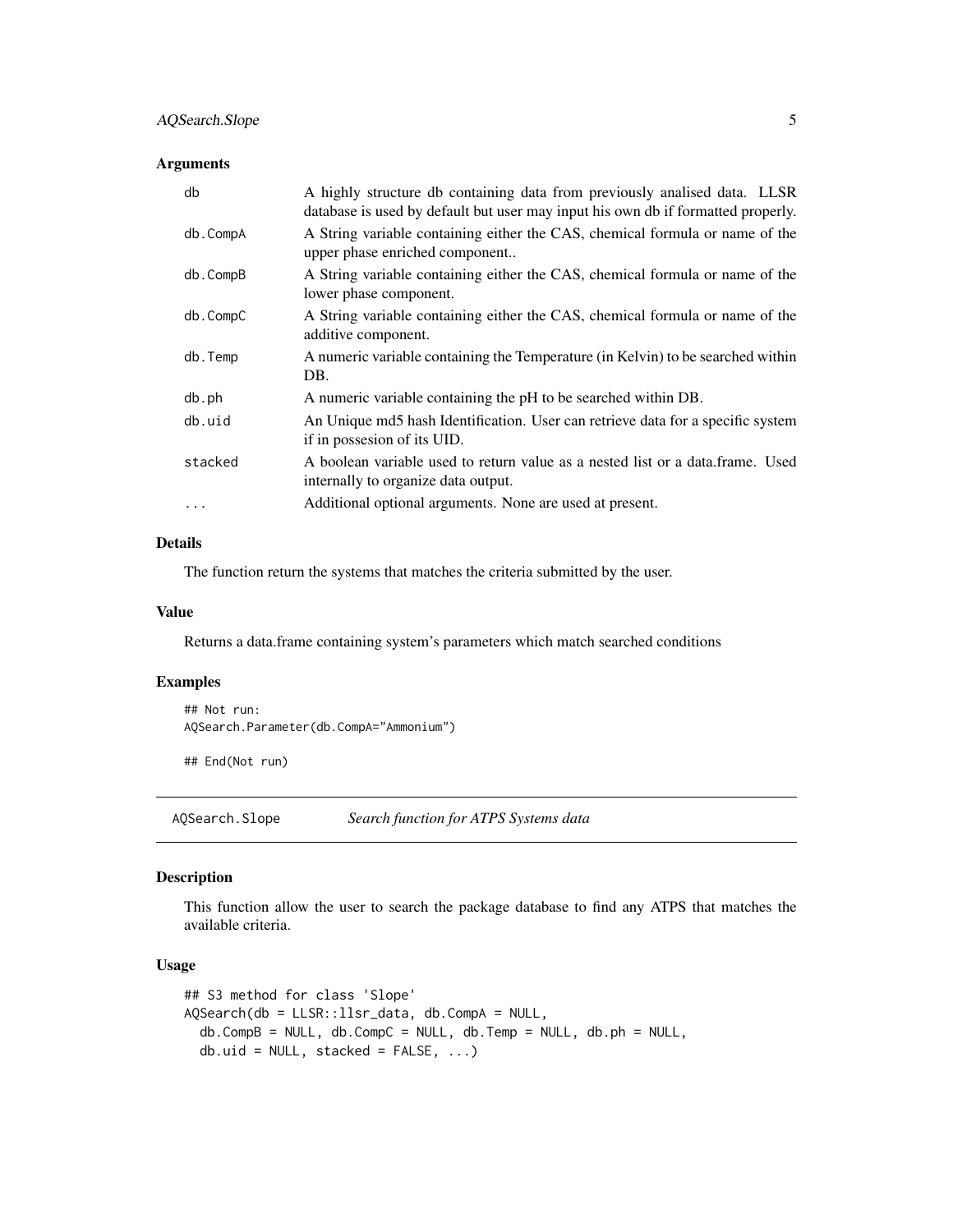<span id="page-4-0"></span>

| db       | A highly structure db containing data from previously analised data. LLSR<br>database is used by default but user may input his own db if formatted properly. |
|----------|---------------------------------------------------------------------------------------------------------------------------------------------------------------|
| db.CompA | A String variable containing either the CAS, chemical formula or name of the<br>upper phase enriched component                                                |
| db.CompB | A String variable containing either the CAS, chemical formula or name of the<br>lower phase component.                                                        |
| db.CompC | A String variable containing either the CAS, chemical formula or name of the<br>additive component.                                                           |
| db.Temp  | A numeric variable containing the Temperature (in Kelvin) to be searched within<br>DB.                                                                        |
| db.ph    | A numeric variable containing the pH to be searched within DB.                                                                                                |
| db.uid   | An Unique md5 hash Identification. User can retrieve data for a specific system<br>if in possesion of its UID.                                                |
| stacked  | A boolean variable used to return value as a nested list or a data.frame. Used<br>internally to organize data output.                                         |
|          | Additional optional arguments. None are used at present.                                                                                                      |

## Details

The function return the systems that matches the criteria submitted by the user.

#### Value

Returns a data.frame containing system's parameters which match searched conditions

#### Examples

```
## Not run:
AQSearch.Parameter(db.CompA="Ammonium")
```
## End(Not run)

AQSearch.Slope *Search function for ATPS Systems data*

## Description

This function allow the user to search the package database to find any ATPS that matches the available criteria.

```
## S3 method for class 'Slope'
AQSearch(db = LLSR::llsr_data, db.CompA = NULL,
  db.CompB = NULL, db.CompC = NULL, db.Temp = NULL, db.ph = NULL,
  db.uid = NULL, stacked = FALSE, ...)
```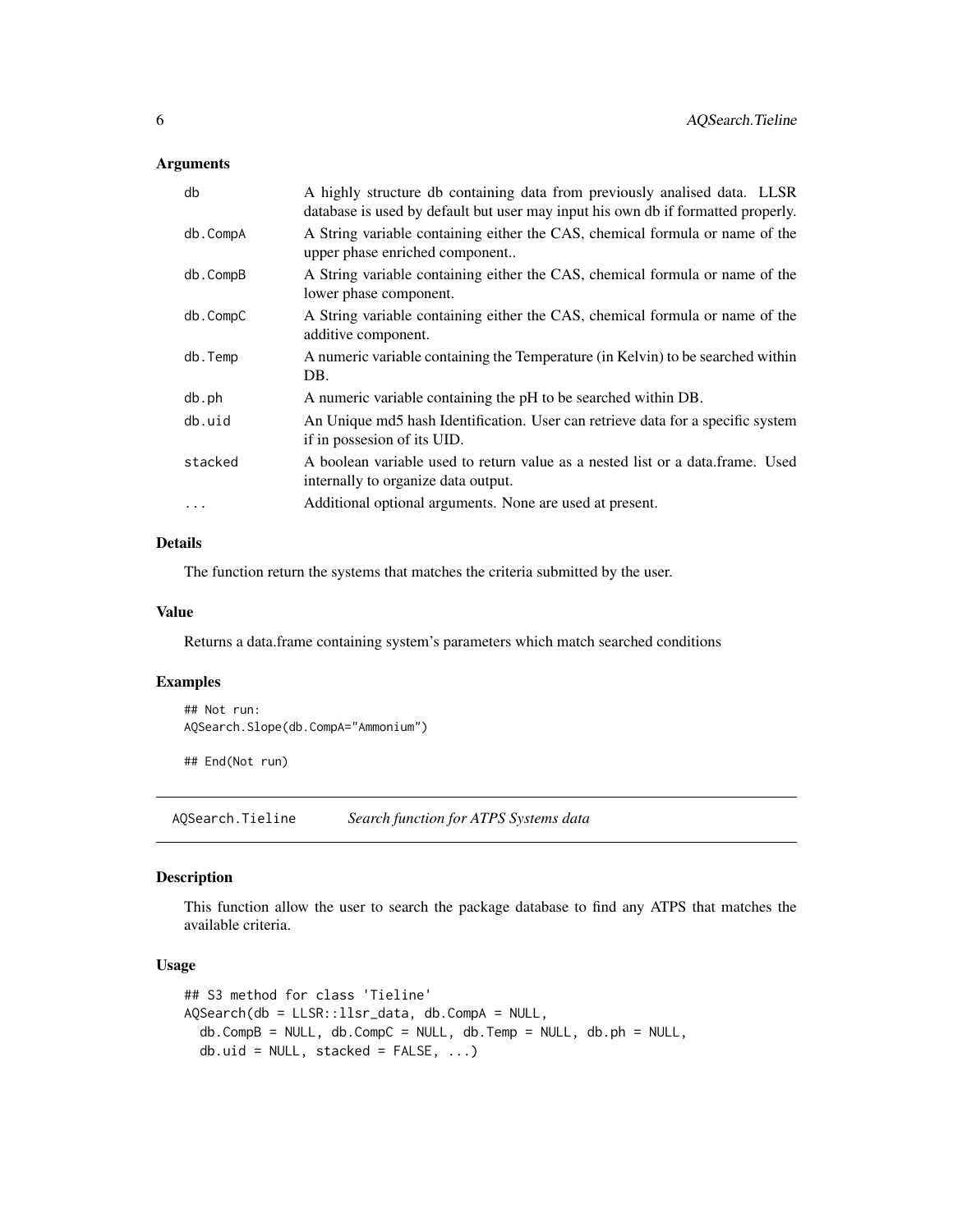<span id="page-5-0"></span>

| db         | A highly structure db containing data from previously analised data. LLSR<br>database is used by default but user may input his own db if formatted properly. |
|------------|---------------------------------------------------------------------------------------------------------------------------------------------------------------|
| db.CompA   | A String variable containing either the CAS, chemical formula or name of the<br>upper phase enriched component                                                |
| db.CompB   | A String variable containing either the CAS, chemical formula or name of the<br>lower phase component.                                                        |
| db.CompC   | A String variable containing either the CAS, chemical formula or name of the<br>additive component.                                                           |
| db.Temp    | A numeric variable containing the Temperature (in Kelvin) to be searched within<br>DB.                                                                        |
| db.ph      | A numeric variable containing the pH to be searched within DB.                                                                                                |
| db.uid     | An Unique md5 hash Identification. User can retrieve data for a specific system<br>if in possesion of its UID.                                                |
| stacked    | A boolean variable used to return value as a nested list or a data.frame. Used<br>internally to organize data output.                                         |
| $\ddots$ . | Additional optional arguments. None are used at present.                                                                                                      |
|            |                                                                                                                                                               |

## Details

The function return the systems that matches the criteria submitted by the user.

#### Value

Returns a data.frame containing system's parameters which match searched conditions

#### Examples

```
## Not run:
AQSearch.Slope(db.CompA="Ammonium")
```
## End(Not run)

AQSearch.Tieline *Search function for ATPS Systems data*

## Description

This function allow the user to search the package database to find any ATPS that matches the available criteria.

```
## S3 method for class 'Tieline'
AQSearch(db = LLSR::llsr_data, db.CompA = NULL,
  db.CompB = NULL, db.CompC = NULL, db.Temp = NULL, db.ph = NULL,
  db.uid = NULL, stacked = FALSE, ...)
```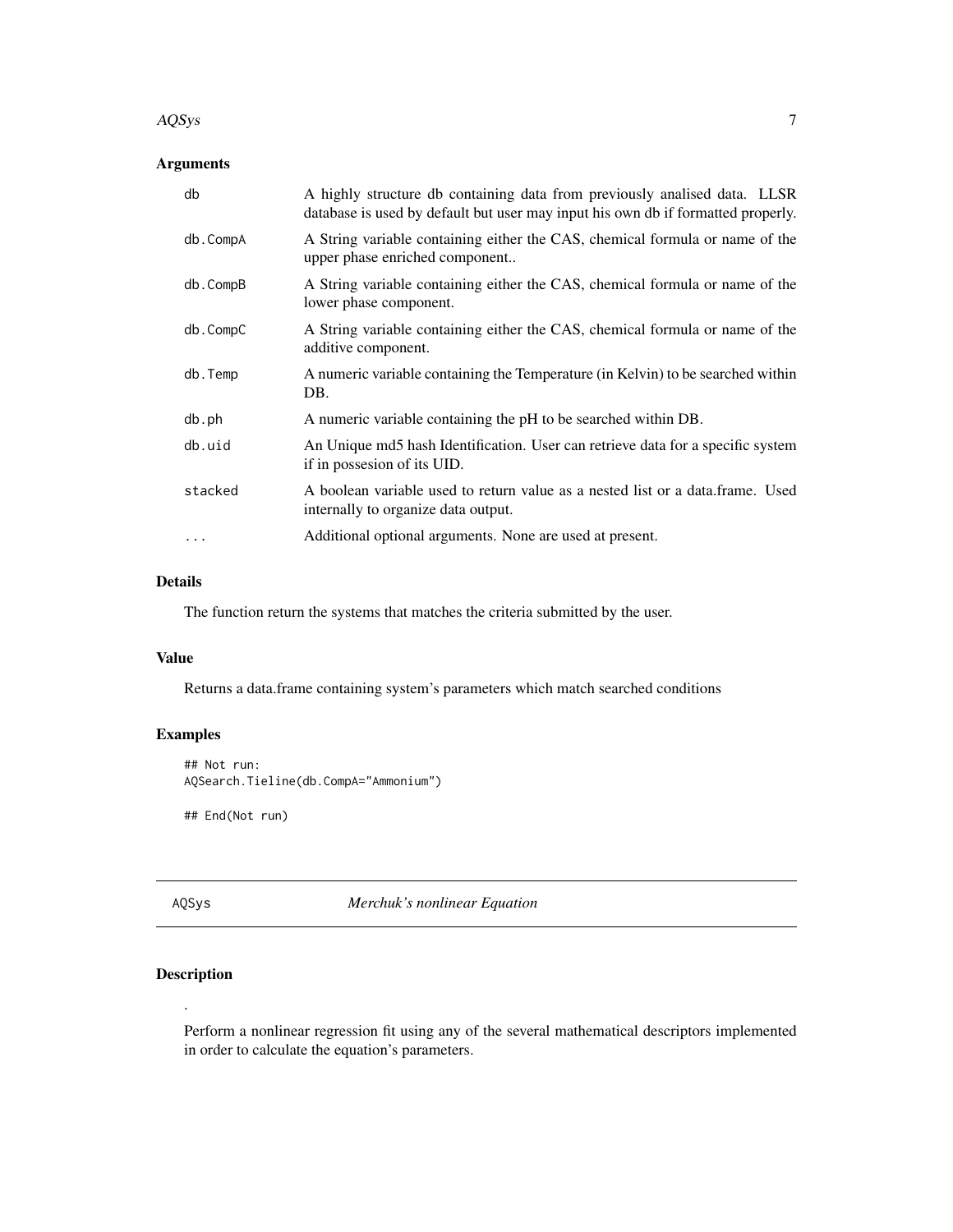#### <span id="page-6-0"></span> $AQSys$  and the contract of the contract of the contract of the contract of the contract of the contract of the contract of the contract of the contract of the contract of the contract of the contract of the contract of the

## Arguments

| db       | A highly structure db containing data from previously analised data. LLSR<br>database is used by default but user may input his own db if formatted properly. |
|----------|---------------------------------------------------------------------------------------------------------------------------------------------------------------|
| db.CompA | A String variable containing either the CAS, chemical formula or name of the<br>upper phase enriched component                                                |
| db.CompB | A String variable containing either the CAS, chemical formula or name of the<br>lower phase component.                                                        |
| db.CompC | A String variable containing either the CAS, chemical formula or name of the<br>additive component.                                                           |
| db.Temp  | A numeric variable containing the Temperature (in Kelvin) to be searched within<br>DB.                                                                        |
| db.ph    | A numeric variable containing the pH to be searched within DB.                                                                                                |
| db.uid   | An Unique md5 hash Identification. User can retrieve data for a specific system<br>if in possesion of its UID.                                                |
| stacked  | A boolean variable used to return value as a nested list or a data.frame. Used<br>internally to organize data output.                                         |
| $\cdots$ | Additional optional arguments. None are used at present.                                                                                                      |

## Details

The function return the systems that matches the criteria submitted by the user.

## Value

Returns a data.frame containing system's parameters which match searched conditions

## Examples

```
## Not run:
AQSearch.Tieline(db.CompA="Ammonium")
```
## End(Not run)

AQSys *Merchuk's nonlinear Equation*

## <span id="page-6-1"></span>Description

.

Perform a nonlinear regression fit using any of the several mathematical descriptors implemented in order to calculate the equation's parameters.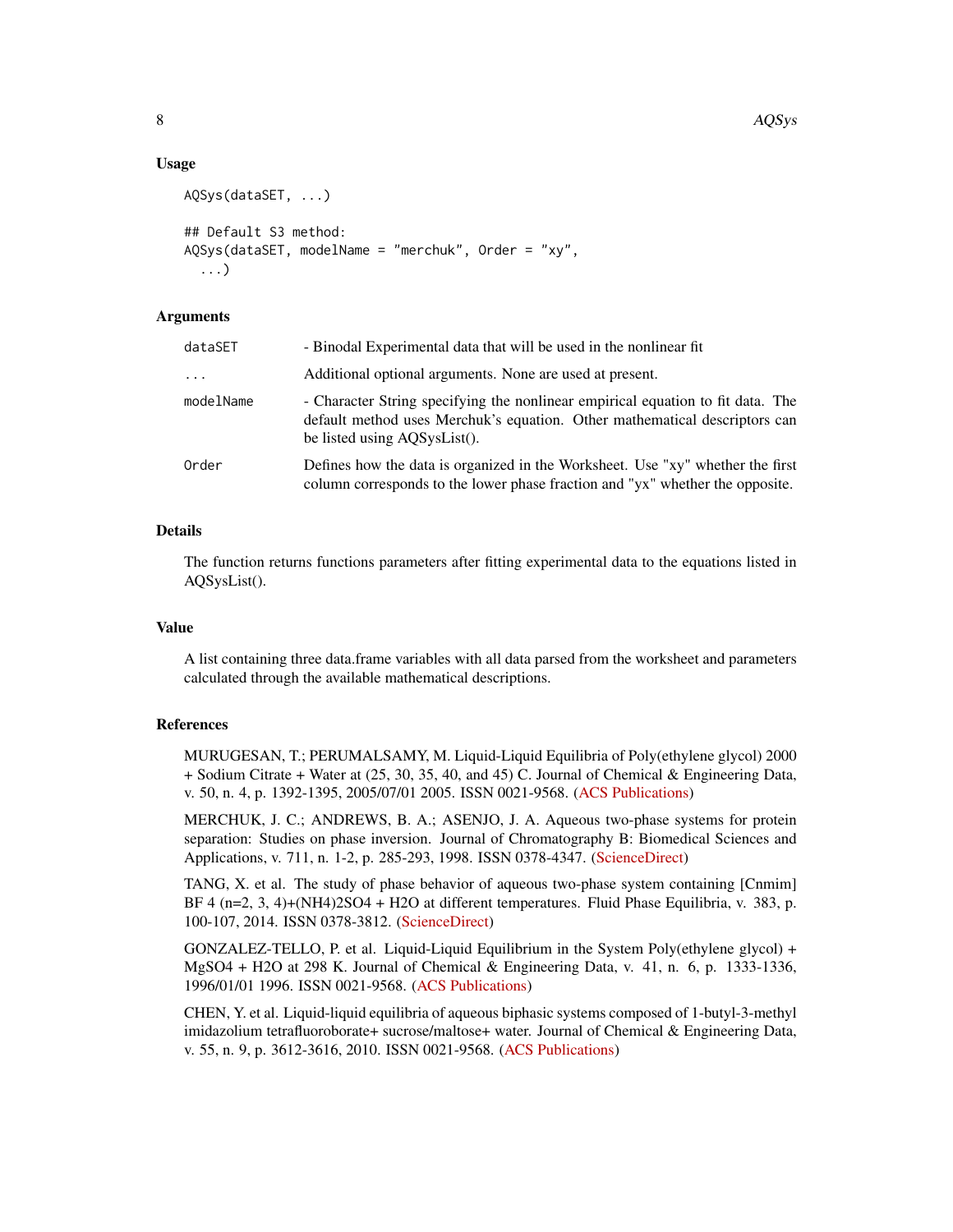#### Usage

```
AQSys(dataSET, ...)
## Default S3 method:
AQSys(dataSET, modelName = "merchuk", Order = "xy",
  ...)
```
#### Arguments

| dataSET   | - Binodal Experimental data that will be used in the nonlinear fit                                                                                                                            |
|-----------|-----------------------------------------------------------------------------------------------------------------------------------------------------------------------------------------------|
| $\cdots$  | Additional optional arguments. None are used at present.                                                                                                                                      |
| modelName | - Character String specifying the nonlinear empirical equation to fit data. The<br>default method uses Merchuk's equation. Other mathematical descriptors can<br>be listed using AQSysList(). |
| Order     | Defines how the data is organized in the Worksheet. Use "xy" whether the first<br>column corresponds to the lower phase fraction and "yx" whether the opposite.                               |

## Details

The function returns functions parameters after fitting experimental data to the equations listed in AQSysList().

#### Value

A list containing three data.frame variables with all data parsed from the worksheet and parameters calculated through the available mathematical descriptions.

#### References

MURUGESAN, T.; PERUMALSAMY, M. Liquid-Liquid Equilibria of Poly(ethylene glycol) 2000 + Sodium Citrate + Water at (25, 30, 35, 40, and 45) C. Journal of Chemical & Engineering Data, v. 50, n. 4, p. 1392-1395, 2005/07/01 2005. ISSN 0021-9568. [\(ACS Publications\)](https://www.doi.org/10.1021/je050081k)

MERCHUK, J. C.; ANDREWS, B. A.; ASENJO, J. A. Aqueous two-phase systems for protein separation: Studies on phase inversion. Journal of Chromatography B: Biomedical Sciences and Applications, v. 711, n. 1-2, p. 285-293, 1998. ISSN 0378-4347. [\(ScienceDirect\)](https://www.doi.org/10.1016/s0378-4347(97)00594-x)

TANG, X. et al. The study of phase behavior of aqueous two-phase system containing [Cnmim] BF 4 (n=2, 3, 4)+(NH4)2SO4 + H2O at different temperatures. Fluid Phase Equilibria, v. 383, p. 100-107, 2014. ISSN 0378-3812. [\(ScienceDirect\)](https://doi.org/10.1016/j.fluid.2014.09.029)

GONZALEZ-TELLO, P. et al. Liquid-Liquid Equilibrium in the System Poly(ethylene glycol) + MgSO4 + H2O at 298 K. Journal of Chemical & Engineering Data, v. 41, n. 6, p. 1333-1336, 1996/01/01 1996. ISSN 0021-9568. [\(ACS Publications\)](https://www.doi.org/10.1021/je960075b)

CHEN, Y. et al. Liquid-liquid equilibria of aqueous biphasic systems composed of 1-butyl-3-methyl imidazolium tetrafluoroborate+ sucrose/maltose+ water. Journal of Chemical & Engineering Data, v. 55, n. 9, p. 3612-3616, 2010. ISSN 0021-9568. [\(ACS Publications\)](https://pubs.acs.org/doi/ipdf/10.1021/je100212p)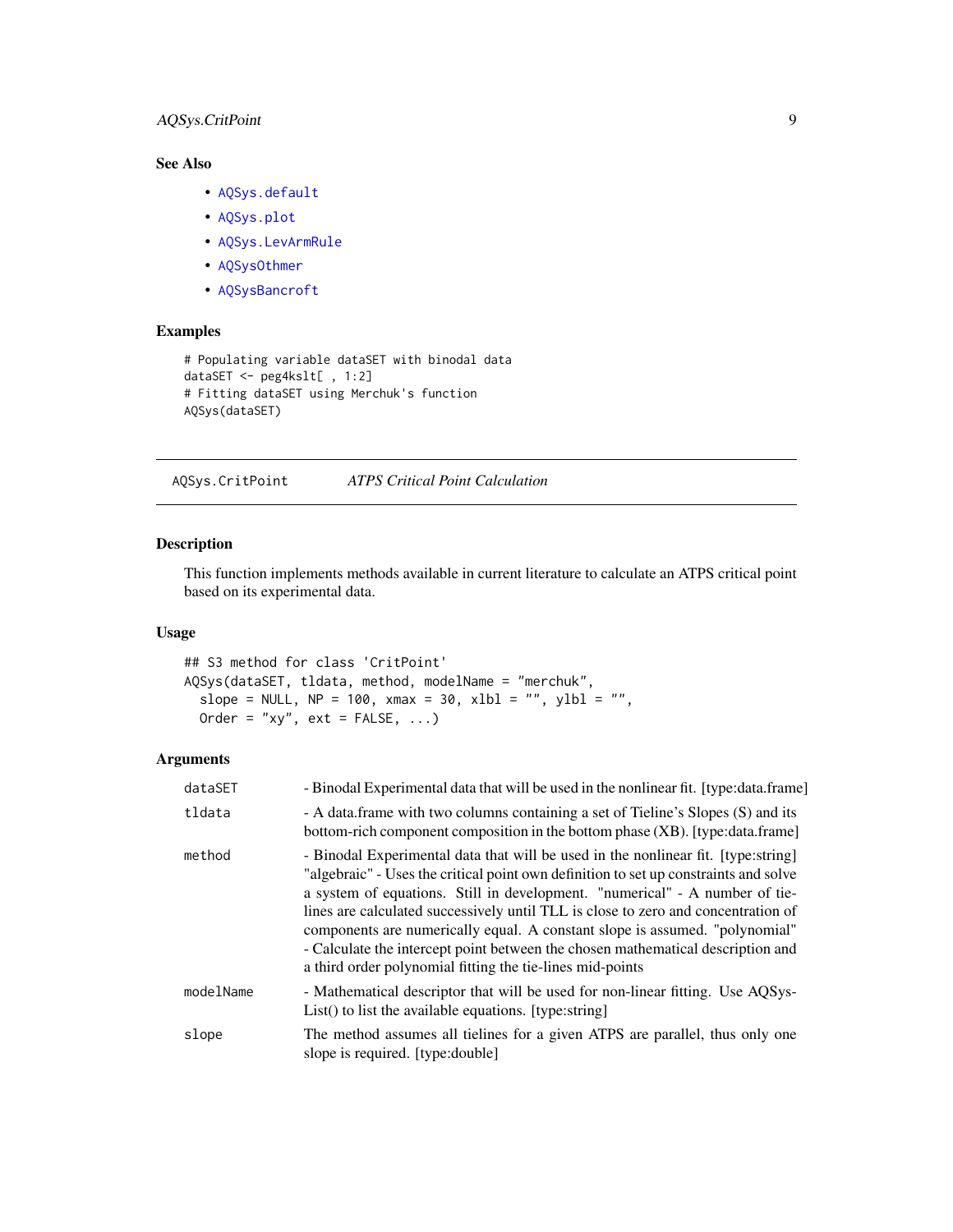## <span id="page-8-0"></span>AQSys.CritPoint 9

## See Also

- [AQSys.default](#page-6-1)
- [AQSys.plot](#page-12-1)
- [AQSys.LevArmRule](#page-10-1)
- [AQSysOthmer](#page-19-1)
- [AQSysBancroft](#page-13-1)

#### Examples

```
# Populating variable dataSET with binodal data
dataSET <- peg4kslt[ , 1:2]
# Fitting dataSET using Merchuk's function
AQSys(dataSET)
```
AQSys.CritPoint *ATPS Critical Point Calculation*

## Description

This function implements methods available in current literature to calculate an ATPS critical point based on its experimental data.

## Usage

```
## S3 method for class 'CritPoint'
AQSys(dataSET, tldata, method, modelName = "merchuk",
  slope = NULL, NP = 100, xmax = 30, xlb1 = "", ylb1 = "",Order = "xy", ext = FALSE, ...)
```

| dataSET   | - Binodal Experimental data that will be used in the nonlinear fit. [type:data.frame]                                                                                                                                                                                                                                                                                                                                                                                                                                                                                        |
|-----------|------------------------------------------------------------------------------------------------------------------------------------------------------------------------------------------------------------------------------------------------------------------------------------------------------------------------------------------------------------------------------------------------------------------------------------------------------------------------------------------------------------------------------------------------------------------------------|
| tldata    | - A data frame with two columns containing a set of Tieline's Slopes (S) and its<br>bottom-rich component composition in the bottom phase (XB). [type:data.frame]                                                                                                                                                                                                                                                                                                                                                                                                            |
| method    | - Binodal Experimental data that will be used in the nonlinear fit. [type:string]<br>"algebraic" - Uses the critical point own definition to set up constraints and solve<br>a system of equations. Still in development. "numerical" - A number of tie-<br>lines are calculated successively until TLL is close to zero and concentration of<br>components are numerically equal. A constant slope is assumed. "polynomial"<br>- Calculate the intercept point between the chosen mathematical description and<br>a third order polynomial fitting the tie-lines mid-points |
| modelName | - Mathematical descriptor that will be used for non-linear fitting. Use AOSys-<br>List() to list the available equations. [type:string]                                                                                                                                                                                                                                                                                                                                                                                                                                      |
| slope     | The method assumes all tielines for a given ATPS are parallel, thus only one<br>slope is required. [type:double]                                                                                                                                                                                                                                                                                                                                                                                                                                                             |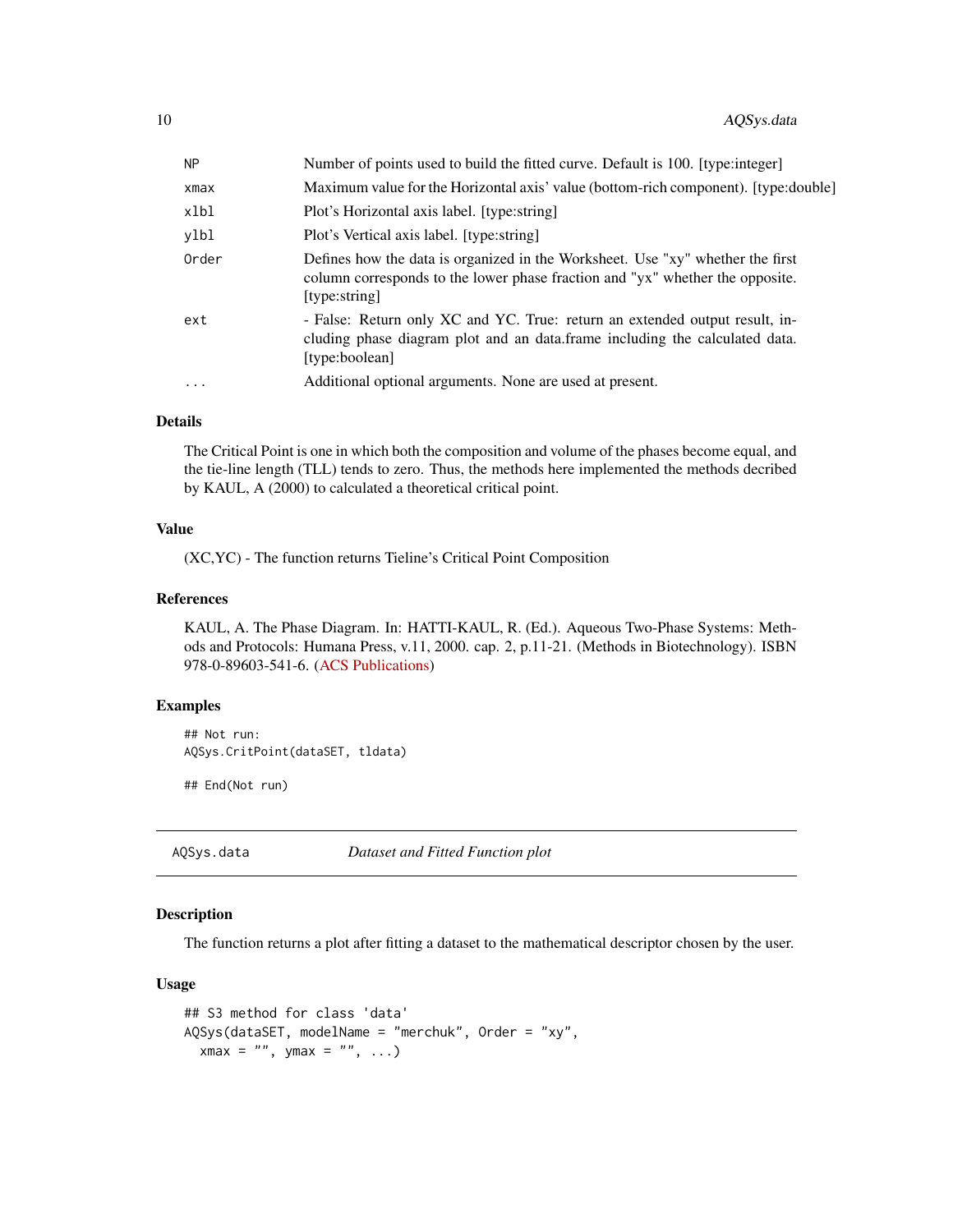<span id="page-9-0"></span>

| <b>NP</b> | Number of points used to build the fitted curve. Default is 100. [type:integer]                                                                                                  |
|-----------|----------------------------------------------------------------------------------------------------------------------------------------------------------------------------------|
| xmax      | Maximum value for the Horizontal axis' value (bottom-rich component). [type:double]                                                                                              |
| xlbl      | Plot's Horizontal axis label. [type:string]                                                                                                                                      |
| ylbl      | Plot's Vertical axis label. [type:string]                                                                                                                                        |
| Order     | Defines how the data is organized in the Worksheet. Use "xy" whether the first<br>column corresponds to the lower phase fraction and "yx" whether the opposite.<br>[type:string] |
| ext       | - False: Return only XC and YC. True: return an extended output result, in-<br>cluding phase diagram plot and an data. frame including the calculated data.<br>[type:boolean]    |
| .         | Additional optional arguments. None are used at present.                                                                                                                         |
|           |                                                                                                                                                                                  |

## Details

The Critical Point is one in which both the composition and volume of the phases become equal, and the tie-line length (TLL) tends to zero. Thus, the methods here implemented the methods decribed by KAUL, A (2000) to calculated a theoretical critical point.

#### Value

(XC,YC) - The function returns Tieline's Critical Point Composition

#### References

KAUL, A. The Phase Diagram. In: HATTI-KAUL, R. (Ed.). Aqueous Two-Phase Systems: Methods and Protocols: Humana Press, v.11, 2000. cap. 2, p.11-21. (Methods in Biotechnology). ISBN 978-0-89603-541-6. [\(ACS Publications\)](https://doi.org/10.1385/1-59259-028-4:11)

#### Examples

```
## Not run:
AQSys.CritPoint(dataSET, tldata)
```
## End(Not run)

AQSys.data *Dataset and Fitted Function plot*

## Description

The function returns a plot after fitting a dataset to the mathematical descriptor chosen by the user.

```
## S3 method for class 'data'
AQSys(dataSET, modelName = "merchuk", Order = "xy",
 xmax = "", ymax = "", ...)
```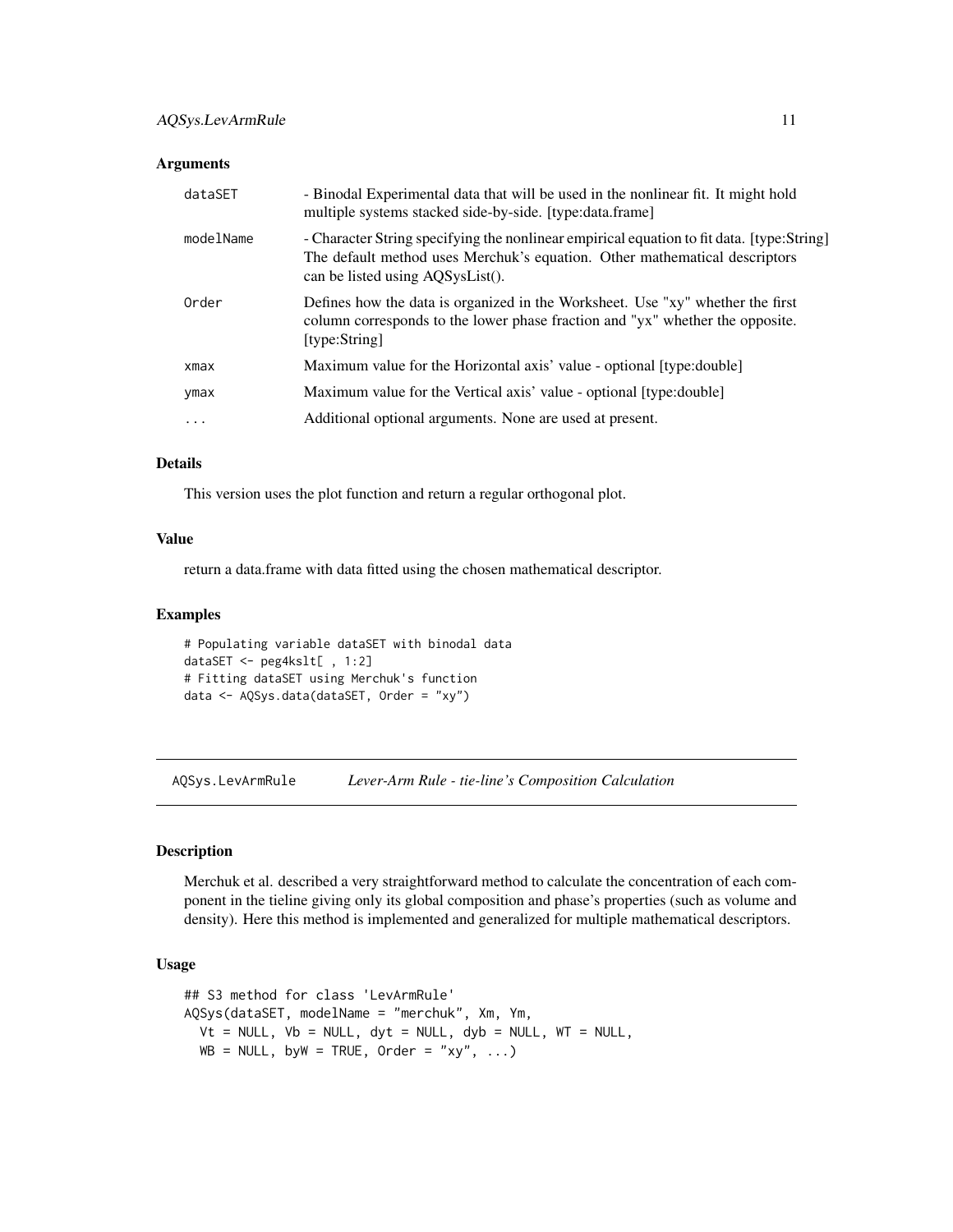<span id="page-10-0"></span>

| dataSET   | - Binodal Experimental data that will be used in the nonlinear fit. It might hold<br>multiple systems stacked side-by-side. [type:data.frame]                                                               |
|-----------|-------------------------------------------------------------------------------------------------------------------------------------------------------------------------------------------------------------|
| modelName | - Character String specifying the nonlinear empirical equation to fit data. [type:String]<br>The default method uses Merchuk's equation. Other mathematical descriptors<br>can be listed using AQSysList(). |
| Order     | Defines how the data is organized in the Worksheet. Use "xy" whether the first<br>column corresponds to the lower phase fraction and "yx" whether the opposite.<br>[type:String]                            |
| xmax      | Maximum value for the Horizontal axis' value - optional [type:double]                                                                                                                                       |
| ymax      | Maximum value for the Vertical axis' value - optional [type:double]                                                                                                                                         |
| $\cdots$  | Additional optional arguments. None are used at present.                                                                                                                                                    |

#### Details

This version uses the plot function and return a regular orthogonal plot.

#### Value

return a data.frame with data fitted using the chosen mathematical descriptor.

## Examples

```
# Populating variable dataSET with binodal data
dataSET <- peg4kslt[ , 1:2]
# Fitting dataSET using Merchuk's function
data <- AQSys.data(dataSET, Order = "xy")
```
<span id="page-10-1"></span>AQSys.LevArmRule *Lever-Arm Rule - tie-line's Composition Calculation*

#### Description

Merchuk et al. described a very straightforward method to calculate the concentration of each component in the tieline giving only its global composition and phase's properties (such as volume and density). Here this method is implemented and generalized for multiple mathematical descriptors.

```
## S3 method for class 'LevArmRule'
AQSys(dataSET, modelName = "merchuk", Xm, Ym,
 Vt = NULL, Vb = NULL, dyt = NULL, dyb = NULL, WT = NULL,
 WB = NULL, byW = TRUE, Order = "xy", ...)
```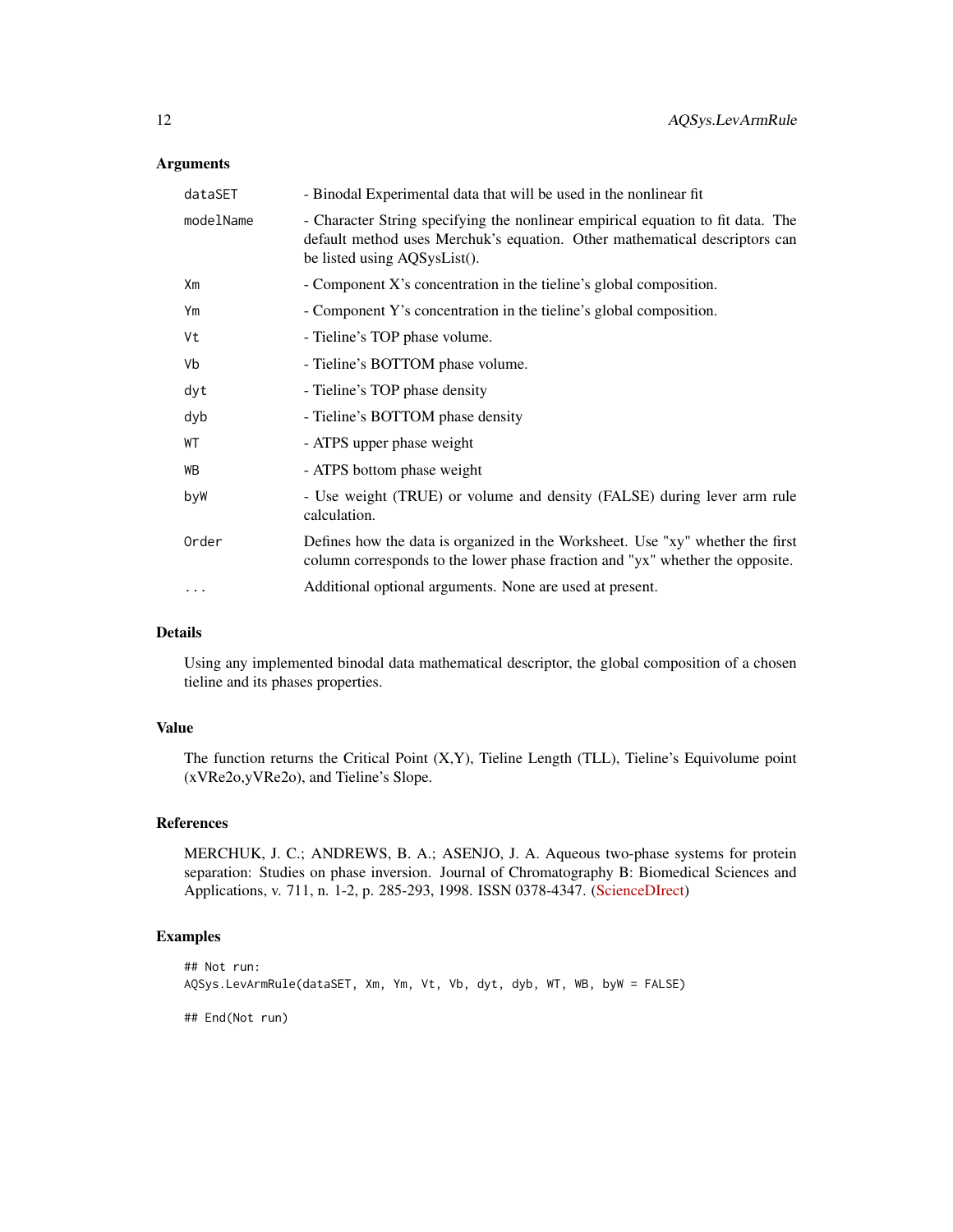| - Character String specifying the nonlinear empirical equation to fit data. The<br>default method uses Merchuk's equation. Other mathematical descriptors can<br>be listed using AQSysList(). |
|-----------------------------------------------------------------------------------------------------------------------------------------------------------------------------------------------|
| - Component X's concentration in the tieline's global composition.                                                                                                                            |
| - Component Y's concentration in the tieline's global composition.                                                                                                                            |
| - Tieline's TOP phase volume.                                                                                                                                                                 |
| - Tieline's BOTTOM phase volume.                                                                                                                                                              |
| - Tieline's TOP phase density                                                                                                                                                                 |
| - Tieline's BOTTOM phase density                                                                                                                                                              |
| - ATPS upper phase weight                                                                                                                                                                     |
| - ATPS bottom phase weight                                                                                                                                                                    |
| - Use weight (TRUE) or volume and density (FALSE) during lever arm rule<br>calculation.                                                                                                       |
| Defines how the data is organized in the Worksheet. Use "xy" whether the first<br>column corresponds to the lower phase fraction and "yx" whether the opposite.                               |
| Additional optional arguments. None are used at present.                                                                                                                                      |
|                                                                                                                                                                                               |

## Details

Using any implemented binodal data mathematical descriptor, the global composition of a chosen tieline and its phases properties.

## Value

The function returns the Critical Point (X,Y), Tieline Length (TLL), Tieline's Equivolume point (xVRe2o,yVRe2o), and Tieline's Slope.

## References

MERCHUK, J. C.; ANDREWS, B. A.; ASENJO, J. A. Aqueous two-phase systems for protein separation: Studies on phase inversion. Journal of Chromatography B: Biomedical Sciences and Applications, v. 711, n. 1-2, p. 285-293, 1998. ISSN 0378-4347. [\(ScienceDIrect\)](https://www.doi.org/10.1016/s0378-4347(97)00594-x)

## Examples

```
## Not run:
AQSys.LevArmRule(dataSET, Xm, Ym, Vt, Vb, dyt, dyb, WT, WB, byW = FALSE)
## End(Not run)
```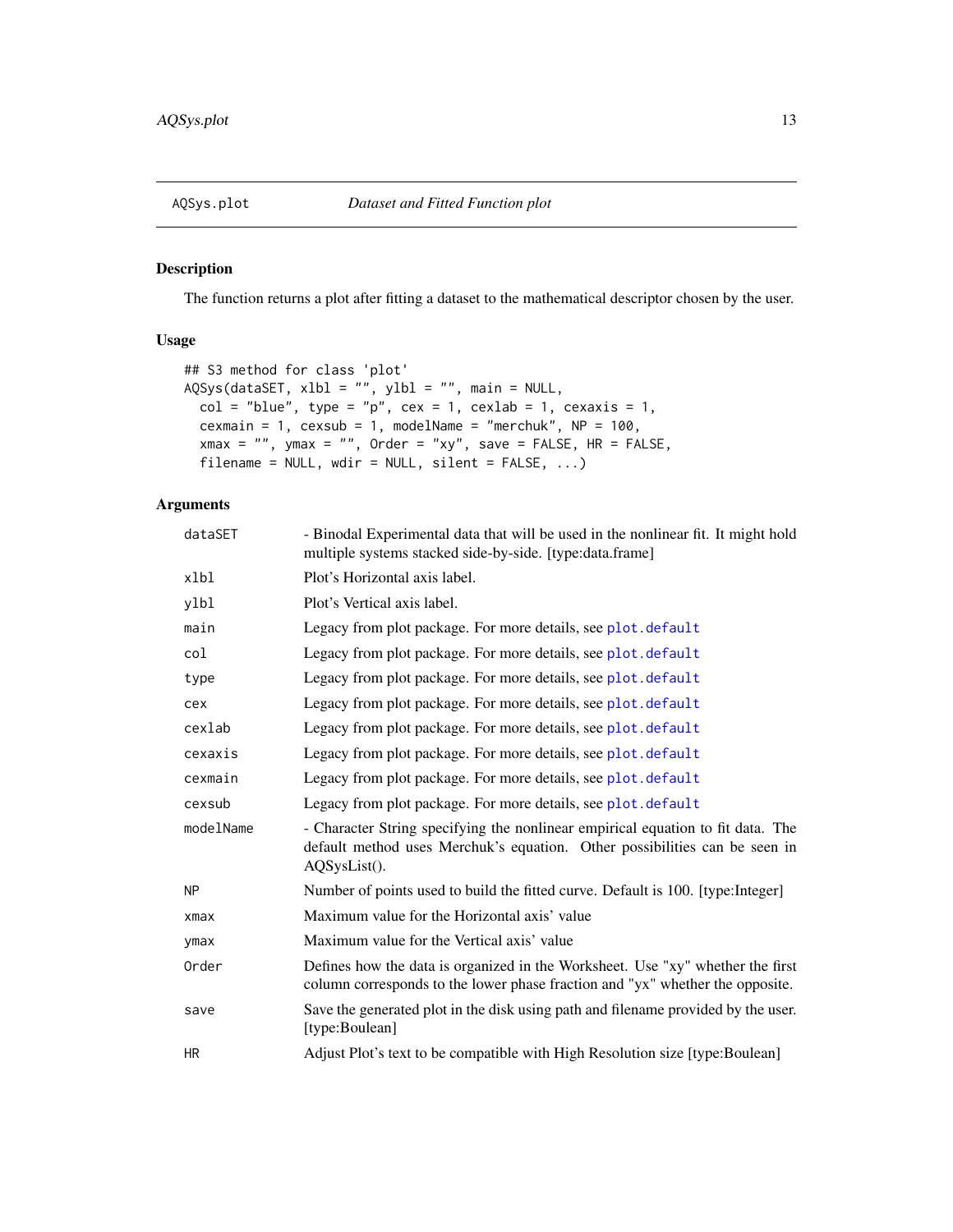<span id="page-12-1"></span><span id="page-12-0"></span>

## Description

The function returns a plot after fitting a dataset to the mathematical descriptor chosen by the user.

#### Usage

```
## S3 method for class 'plot'
AQSys(dataSET, xlbl = "", ylbl = "", main = NULL,
  col = "blue", type = "p", cex = 1, cexlab = 1, cexaxis = 1,cexmain = 1, cexsub = 1, modelName = "merchuk", NP = 100,
 xmax = "", ymax = "", 0rder = "xy", save = FALSE, HR = FALSE,
  filename = NULL, wdir = NULL, silent = FALSE, \ldots)
```

| dataSET   | - Binodal Experimental data that will be used in the nonlinear fit. It might hold<br>multiple systems stacked side-by-side. [type:data.frame]                                 |
|-----------|-------------------------------------------------------------------------------------------------------------------------------------------------------------------------------|
| xlbl      | Plot's Horizontal axis label.                                                                                                                                                 |
| ylbl      | Plot's Vertical axis label.                                                                                                                                                   |
| main      | Legacy from plot package. For more details, see plot. default                                                                                                                 |
| col       | Legacy from plot package. For more details, see plot. default                                                                                                                 |
| type      | Legacy from plot package. For more details, see plot.default                                                                                                                  |
| cex       | Legacy from plot package. For more details, see plot. default                                                                                                                 |
| cexlab    | Legacy from plot package. For more details, see plot. default                                                                                                                 |
| cexaxis   | Legacy from plot package. For more details, see plot. default                                                                                                                 |
| cexmain   | Legacy from plot package. For more details, see plot.default                                                                                                                  |
| cexsub    | Legacy from plot package. For more details, see plot. default                                                                                                                 |
| modelName | - Character String specifying the nonlinear empirical equation to fit data. The<br>default method uses Merchuk's equation. Other possibilities can be seen in<br>AQSysList(). |
| <b>NP</b> | Number of points used to build the fitted curve. Default is 100. [type:Integer]                                                                                               |
| xmax      | Maximum value for the Horizontal axis' value                                                                                                                                  |
| ymax      | Maximum value for the Vertical axis' value                                                                                                                                    |
| Order     | Defines how the data is organized in the Worksheet. Use "xy" whether the first<br>column corresponds to the lower phase fraction and "yx" whether the opposite.               |
| save      | Save the generated plot in the disk using path and filename provided by the user.<br>[type:Boulean]                                                                           |
| HR.       | Adjust Plot's text to be compatible with High Resolution size [type:Boulean]                                                                                                  |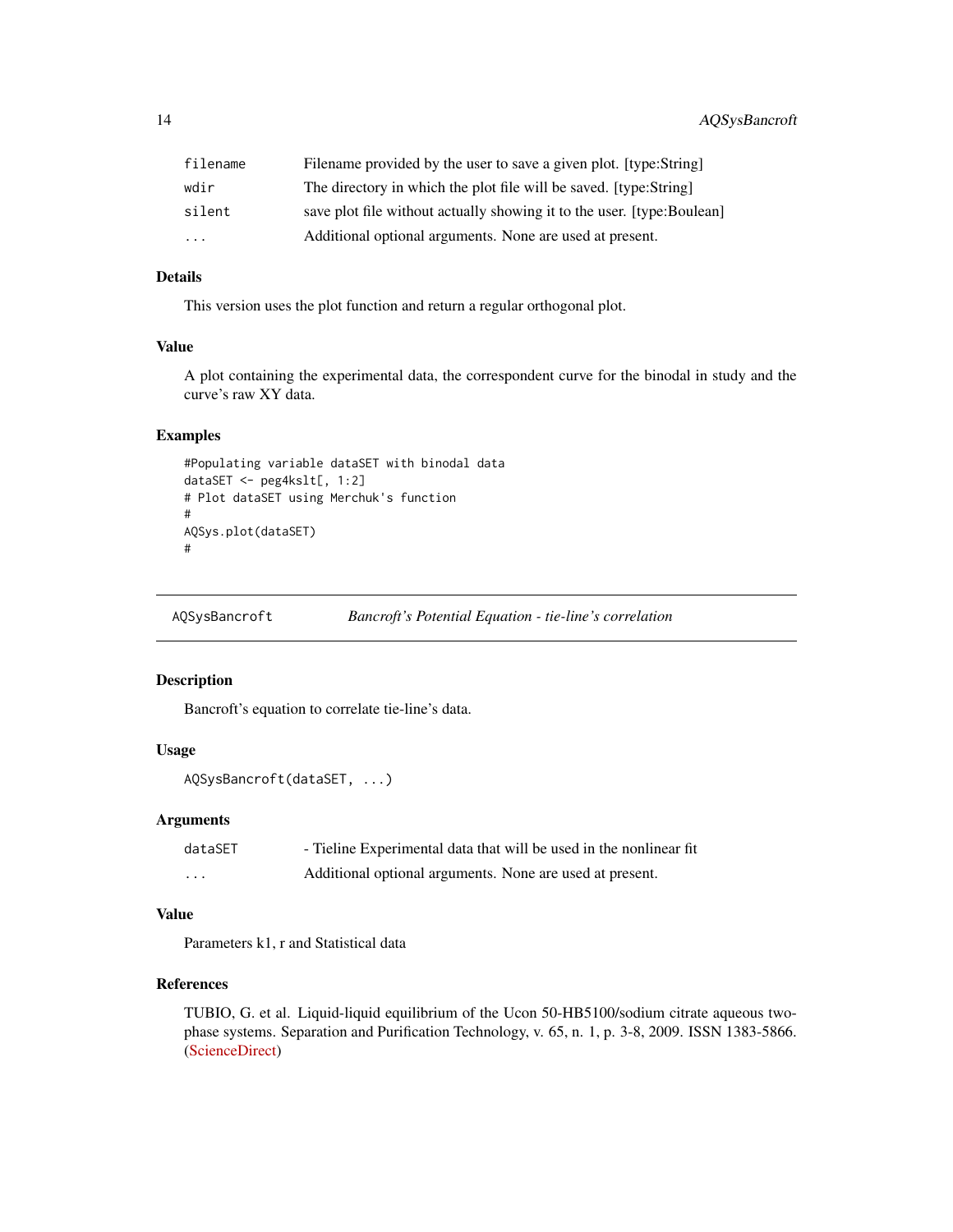<span id="page-13-0"></span>

| filename  | Filename provided by the user to save a given plot. [type:String]      |
|-----------|------------------------------------------------------------------------|
| wdir      | The directory in which the plot file will be saved. [type:String]      |
| silent    | save plot file without actually showing it to the user. [type:Boulean] |
| $\ddotsc$ | Additional optional arguments. None are used at present.               |

## Details

This version uses the plot function and return a regular orthogonal plot.

#### Value

A plot containing the experimental data, the correspondent curve for the binodal in study and the curve's raw XY data.

## Examples

```
#Populating variable dataSET with binodal data
dataSET <- peg4kslt[, 1:2]
# Plot dataSET using Merchuk's function
#
AQSys.plot(dataSET)
#
```
<span id="page-13-1"></span>AQSysBancroft *Bancroft's Potential Equation - tie-line's correlation*

#### Description

Bancroft's equation to correlate tie-line's data.

#### Usage

```
AQSysBancroft(dataSET, ...)
```
#### Arguments

| dataSET | - Tieline Experimental data that will be used in the nonlinear fit |
|---------|--------------------------------------------------------------------|
| $\cdot$ | Additional optional arguments. None are used at present.           |

## Value

Parameters k1, r and Statistical data

## References

TUBIO, G. et al. Liquid-liquid equilibrium of the Ucon 50-HB5100/sodium citrate aqueous twophase systems. Separation and Purification Technology, v. 65, n. 1, p. 3-8, 2009. ISSN 1383-5866. [\(ScienceDirect\)](https://www.sciencedirect.com/science/article/pii/S1383586608000361)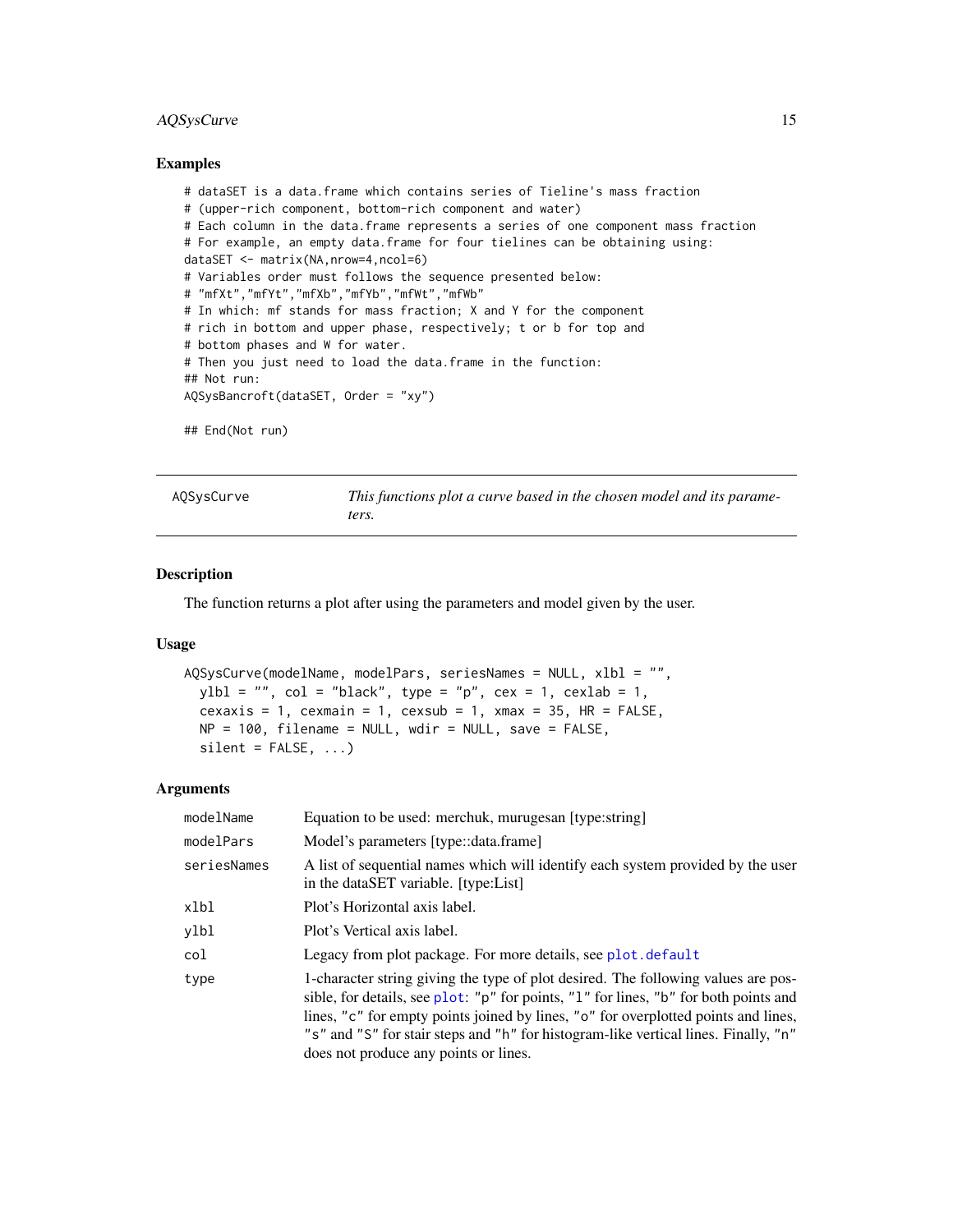## <span id="page-14-0"></span>AQSysCurve 15

#### Examples

```
# dataSET is a data.frame which contains series of Tieline's mass fraction
# (upper-rich component, bottom-rich component and water)
# Each column in the data.frame represents a series of one component mass fraction
# For example, an empty data.frame for four tielines can be obtaining using:
dataSET <- matrix(NA,nrow=4,ncol=6)
# Variables order must follows the sequence presented below:
# "mfXt","mfYt","mfXb","mfYb","mfWt","mfWb"
# In which: mf stands for mass fraction; X and Y for the component
# rich in bottom and upper phase, respectively; t or b for top and
# bottom phases and W for water.
# Then you just need to load the data.frame in the function:
## Not run:
AQSysBancroft(dataSET, Order = "xy")
## End(Not run)
```
AQSysCurve *This functions plot a curve based in the chosen model and its parameters.*

#### Description

The function returns a plot after using the parameters and model given by the user.

#### Usage

```
AQSysCurve(modelName, modelPars, seriesNames = NULL, xlbl = "",
 ybb1 = "", col = "black", type = "p", cex = 1, cexlab = 1,cexaxis = 1, cexmain = 1, cexsub = 1, xmax = 35, HR = FALSE,
 NP = 100, filename = NULL, wdir = NULL, save = FALSE,
  silent = FALSE, ...)
```

| modelName   | Equation to be used: merchuk, muruges an [type:string]                                                                                                                                                                                                                                                                                                                                          |
|-------------|-------------------------------------------------------------------------------------------------------------------------------------------------------------------------------------------------------------------------------------------------------------------------------------------------------------------------------------------------------------------------------------------------|
| modelPars   | Model's parameters [type::data.frame]                                                                                                                                                                                                                                                                                                                                                           |
| seriesNames | A list of sequential names which will identify each system provided by the user<br>in the dataSET variable. [type:List]                                                                                                                                                                                                                                                                         |
| xlbl        | Plot's Horizontal axis label.                                                                                                                                                                                                                                                                                                                                                                   |
| ylbl        | Plot's Vertical axis label.                                                                                                                                                                                                                                                                                                                                                                     |
| col         | Legacy from plot package. For more details, see plot.default                                                                                                                                                                                                                                                                                                                                    |
| type        | 1-character string giving the type of plot desired. The following values are pos-<br>sible, for details, see plot: "p" for points, "l" for lines, "b" for both points and<br>lines, "c" for empty points joined by lines, "o" for overplotted points and lines,<br>"s" and "S" for stair steps and "h" for histogram-like vertical lines. Finally, "n"<br>does not produce any points or lines. |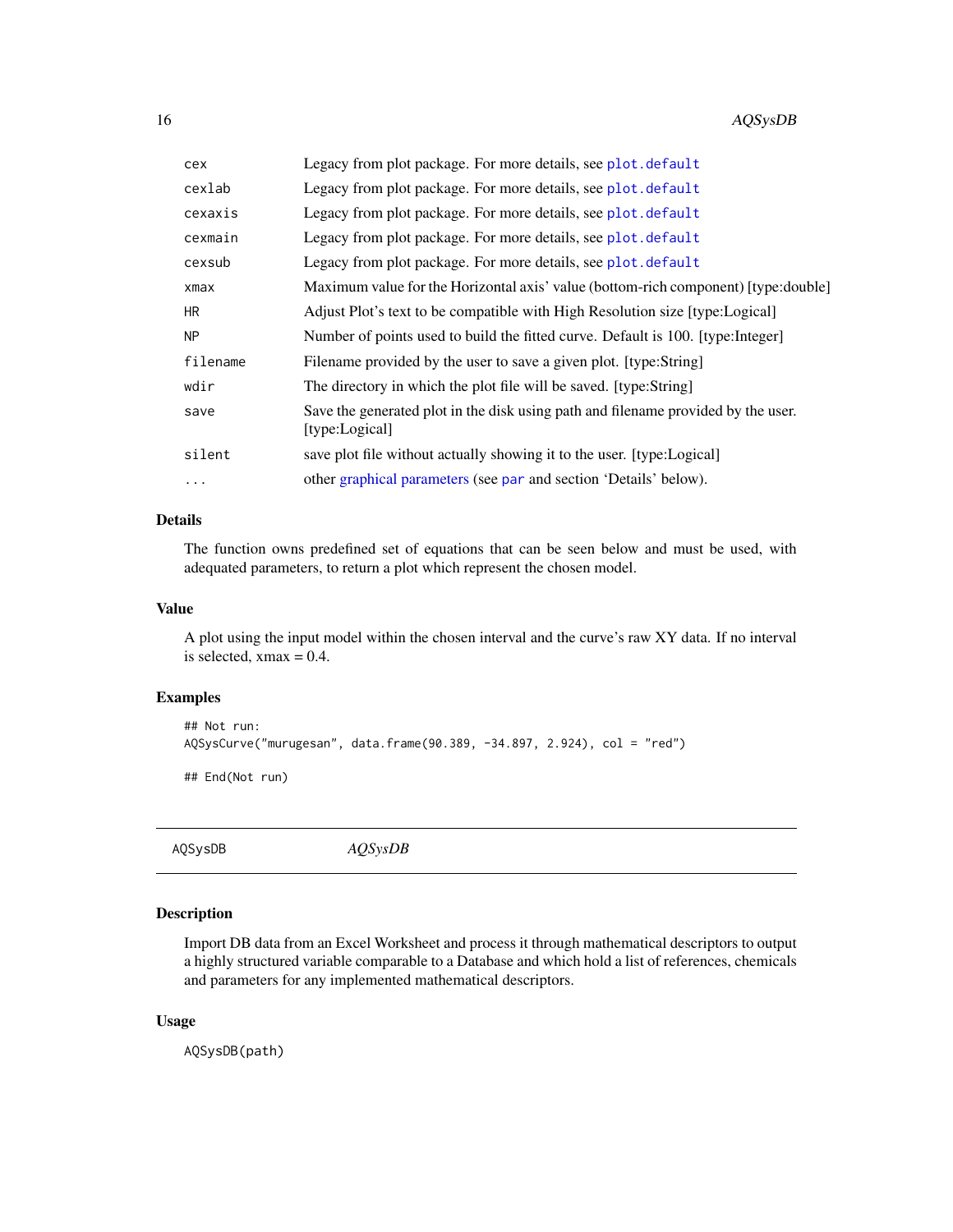<span id="page-15-0"></span>

| cex      | Legacy from plot package. For more details, see plot.default                                        |
|----------|-----------------------------------------------------------------------------------------------------|
| cexlab   | Legacy from plot package. For more details, see plot.default                                        |
| cexaxis  | Legacy from plot package. For more details, see plot. default                                       |
| cexmain  | Legacy from plot package. For more details, see plot.default                                        |
| cexsub   | Legacy from plot package. For more details, see plot. default                                       |
| xmax     | Maximum value for the Horizontal axis' value (bottom-rich component) [type:double]                  |
| HR.      | Adjust Plot's text to be compatible with High Resolution size [type:Logical]                        |
| NΡ       | Number of points used to build the fitted curve. Default is 100. [type:Integer]                     |
| filename | Filename provided by the user to save a given plot. [type:String]                                   |
| wdir     | The directory in which the plot file will be saved. [type:String]                                   |
| save     | Save the generated plot in the disk using path and filename provided by the user.<br>[type:Logical] |
| silent   | save plot file without actually showing it to the user. [type:Logical]                              |
| $\ddots$ | other graphical parameters (see par and section 'Details' below).                                   |

## Details

The function owns predefined set of equations that can be seen below and must be used, with adequated parameters, to return a plot which represent the chosen model.

### Value

A plot using the input model within the chosen interval and the curve's raw XY data. If no interval is selected,  $xmax = 0.4$ .

#### Examples

```
## Not run:
AQSysCurve("murugesan", data.frame(90.389, -34.897, 2.924), col = "red")
## End(Not run)
```
AQSysDB *AQSysDB*

## Description

Import DB data from an Excel Worksheet and process it through mathematical descriptors to output a highly structured variable comparable to a Database and which hold a list of references, chemicals and parameters for any implemented mathematical descriptors.

#### Usage

AQSysDB(path)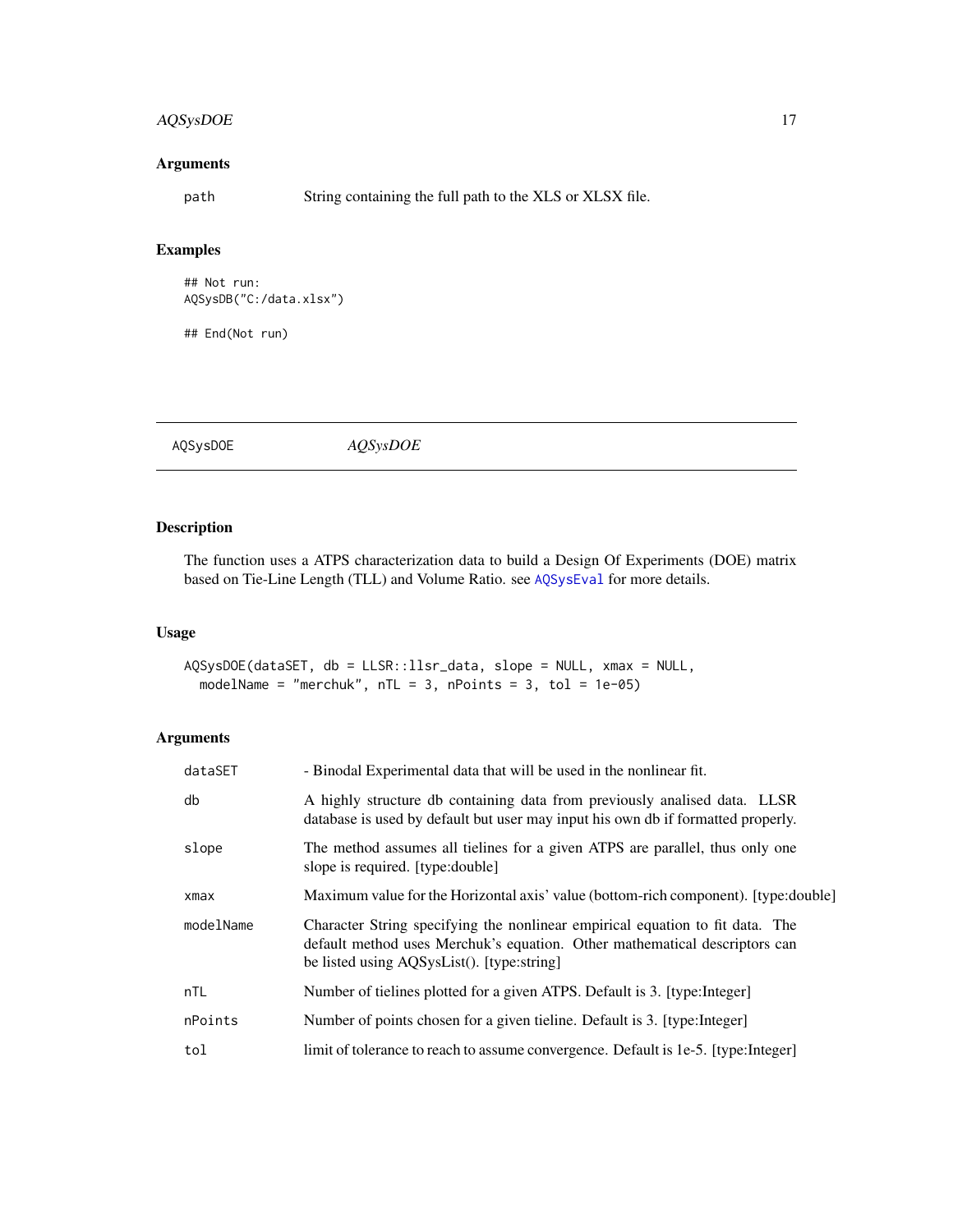## <span id="page-16-0"></span>AQSysDOE 17

#### Arguments

path String containing the full path to the XLS or XLSX file.

#### Examples

```
## Not run:
AQSysDB("C:/data.xlsx")
```
## End(Not run)

AQSysDOE *AQSysDOE*

## Description

The function uses a ATPS characterization data to build a Design Of Experiments (DOE) matrix based on Tie-Line Length (TLL) and Volume Ratio. see [AQSysEval](#page-17-1) for more details.

#### Usage

AQSysDOE(dataSET, db = LLSR::llsr\_data, slope = NULL, xmax = NULL, modelName = "merchuk",  $nTL = 3$ ,  $nPoints = 3$ ,  $tol = 1e-05$ )

| dataSET   | - Binodal Experimental data that will be used in the nonlinear fit.                                                                                                                                       |
|-----------|-----------------------------------------------------------------------------------------------------------------------------------------------------------------------------------------------------------|
| db        | A highly structure db containing data from previously analised data. LLSR<br>database is used by default but user may input his own db if formatted properly.                                             |
| slope     | The method assumes all tielines for a given ATPS are parallel, thus only one<br>slope is required. [type:double]                                                                                          |
| xmax      | Maximum value for the Horizontal axis' value (bottom-rich component). [type:double]                                                                                                                       |
| modelName | Character String specifying the nonlinear empirical equation to fit data. The<br>default method uses Merchuk's equation. Other mathematical descriptors can<br>be listed using AQSysList(). [type:string] |
| nTL       | Number of tielines plotted for a given ATPS. Default is 3. [type:Integer]                                                                                                                                 |
| nPoints   | Number of points chosen for a given tieline. Default is 3. [type:Integer]                                                                                                                                 |
| tol       | limit of tolerance to reach to assume convergence. Default is 1e-5. [type:Integer]                                                                                                                        |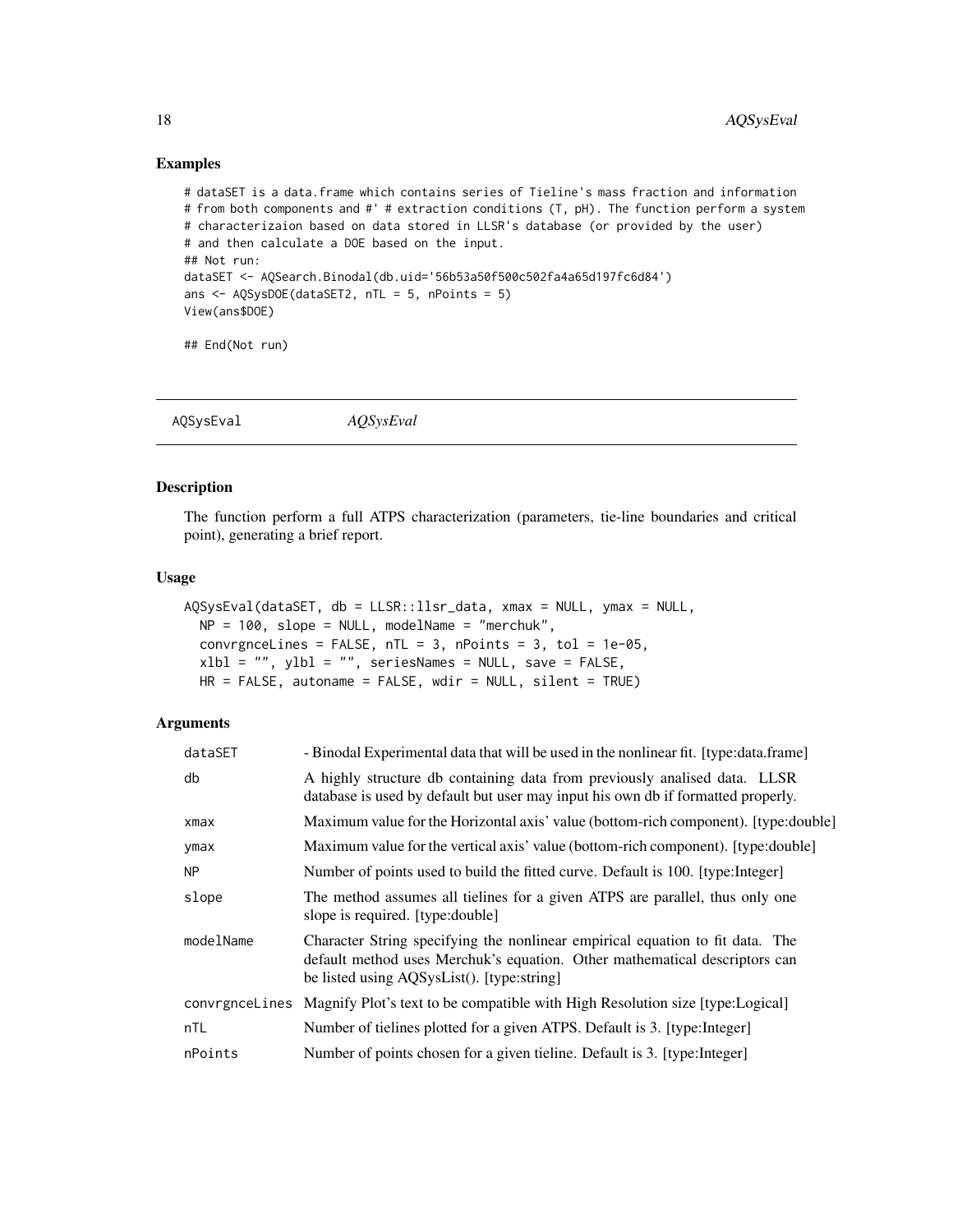#### Examples

```
# dataSET is a data.frame which contains series of Tieline's mass fraction and information
# from both components and #' # extraction conditions (T, pH). The function perform a system
# characterizaion based on data stored in LLSR's database (or provided by the user)
# and then calculate a DOE based on the input.
## Not run:
dataSET <- AQSearch.Binodal(db.uid='56b53a50f500c502fa4a65d197fc6d84')
ans \leq AQSysDOE(dataSET2, nTL = 5, nPoints = 5)
View(ans$DOE)
```
## End(Not run)

<span id="page-17-1"></span>AQSysEval *AQSysEval*

## Description

The function perform a full ATPS characterization (parameters, tie-line boundaries and critical point), generating a brief report.

#### Usage

```
AQSysEval(dataSET, db = LLSR::llsr_data, xmax = NULL, ymax = NULL,
 NP = 100, slope = NULL, modelName = "merchuk",
 convrgnceLines = FALSE, nTL = 3, nPoints = 3, tol = 1e-05,
 xlbl = "", ylbl = "", seriesNames = NULL, save = FALSE,
 HR = FALSE, autoname = FALSE, wdir = NULL, silent = TRUE)
```

| dataSET   | - Binodal Experimental data that will be used in the nonlinear fit. [type:data.frame]                                                                                                                     |
|-----------|-----------------------------------------------------------------------------------------------------------------------------------------------------------------------------------------------------------|
| db        | A highly structure db containing data from previously analised data. LLSR<br>database is used by default but user may input his own db if formatted properly.                                             |
| xmax      | Maximum value for the Horizontal axis' value (bottom-rich component). [type:double]                                                                                                                       |
| ymax      | Maximum value for the vertical axis' value (bottom-rich component). [type:double]                                                                                                                         |
| <b>NP</b> | Number of points used to build the fitted curve. Default is 100. [type:Integer]                                                                                                                           |
| slope     | The method assumes all tielines for a given ATPS are parallel, thus only one<br>slope is required. [type:double]                                                                                          |
| modelName | Character String specifying the nonlinear empirical equation to fit data. The<br>default method uses Merchuk's equation. Other mathematical descriptors can<br>be listed using AQSysList(). [type:string] |
|           | convrgnee Lines Magnify Plot's text to be compatible with High Resolution size [type:Logical]                                                                                                             |
| nTL       | Number of tielines plotted for a given ATPS. Default is 3. [type:Integer]                                                                                                                                 |
| nPoints   | Number of points chosen for a given tieline. Default is 3. [type:Integer]                                                                                                                                 |

<span id="page-17-0"></span>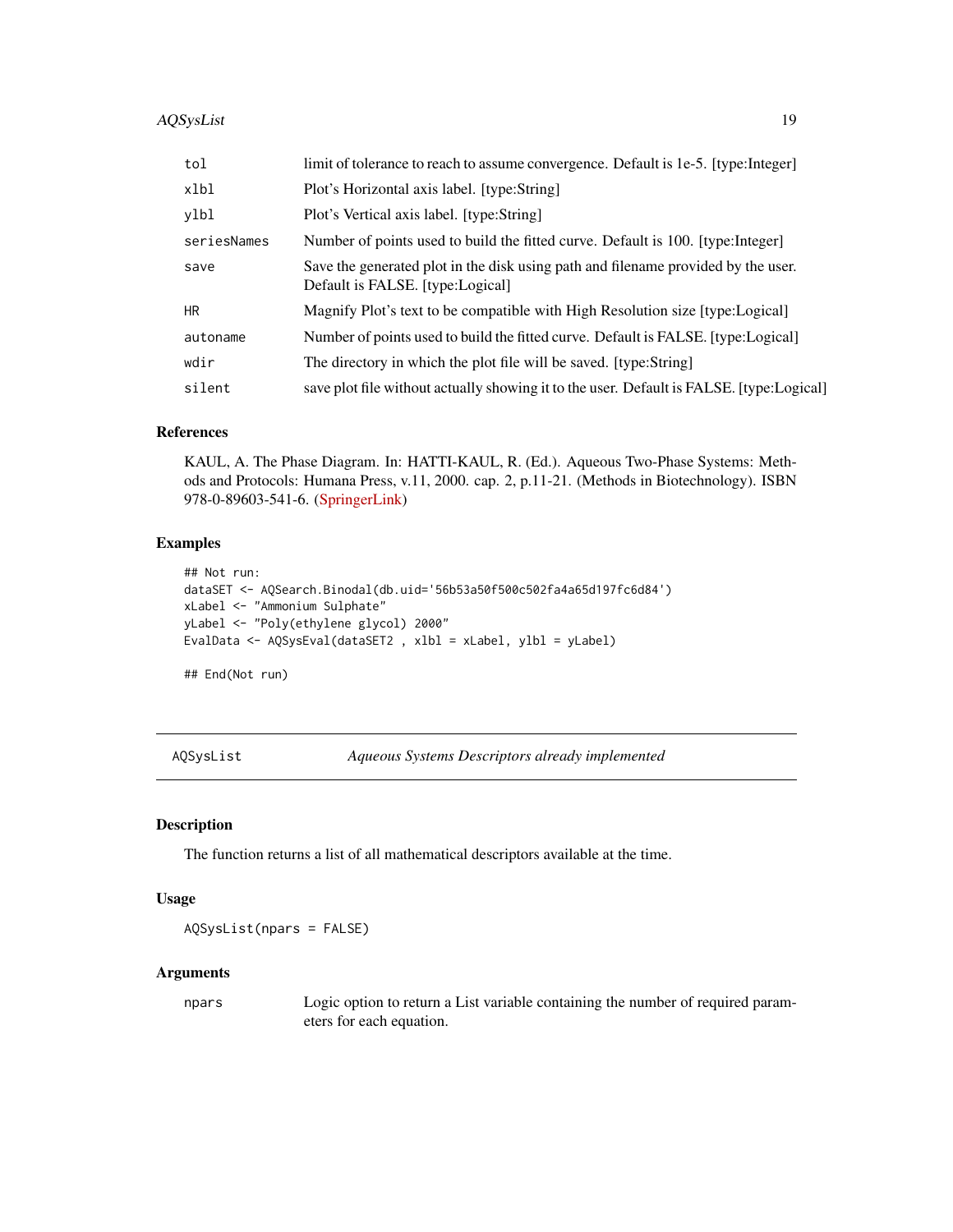<span id="page-18-0"></span>

| tol         | limit of tolerance to reach to assume convergence. Default is 1e-5. [type:Integer]                                    |
|-------------|-----------------------------------------------------------------------------------------------------------------------|
| xlbl        | Plot's Horizontal axis label. [type:String]                                                                           |
| ylbl        | Plot's Vertical axis label. [type:String]                                                                             |
| seriesNames | Number of points used to build the fitted curve. Default is 100. [type:Integer]                                       |
| save        | Save the generated plot in the disk using path and filename provided by the user.<br>Default is FALSE. [type:Logical] |
| <b>HR</b>   | Magnify Plot's text to be compatible with High Resolution size [type:Logical]                                         |
| autoname    | Number of points used to build the fitted curve. Default is FALSE. [type:Logical]                                     |
| wdir        | The directory in which the plot file will be saved. [type:String]                                                     |
| silent      | save plot file without actually showing it to the user. Default is FALSE. [type:Logical]                              |

#### References

KAUL, A. The Phase Diagram. In: HATTI-KAUL, R. (Ed.). Aqueous Two-Phase Systems: Methods and Protocols: Humana Press, v.11, 2000. cap. 2, p.11-21. (Methods in Biotechnology). ISBN 978-0-89603-541-6. [\(SpringerLink\)](https://link.springer.com/10.1385/1-59259-028-4:11)

## Examples

```
## Not run:
dataSET <- AQSearch.Binodal(db.uid='56b53a50f500c502fa4a65d197fc6d84')
xLabel <- "Ammonium Sulphate"
yLabel <- "Poly(ethylene glycol) 2000"
EvalData <- AQSysEval(dataSET2 , xlbl = xLabel, ylbl = yLabel)
```
## End(Not run)

AQSysList *Aqueous Systems Descriptors already implemented*

#### Description

The function returns a list of all mathematical descriptors available at the time.

## Usage

AQSysList(npars = FALSE)

#### Arguments

npars Logic option to return a List variable containing the number of required parameters for each equation.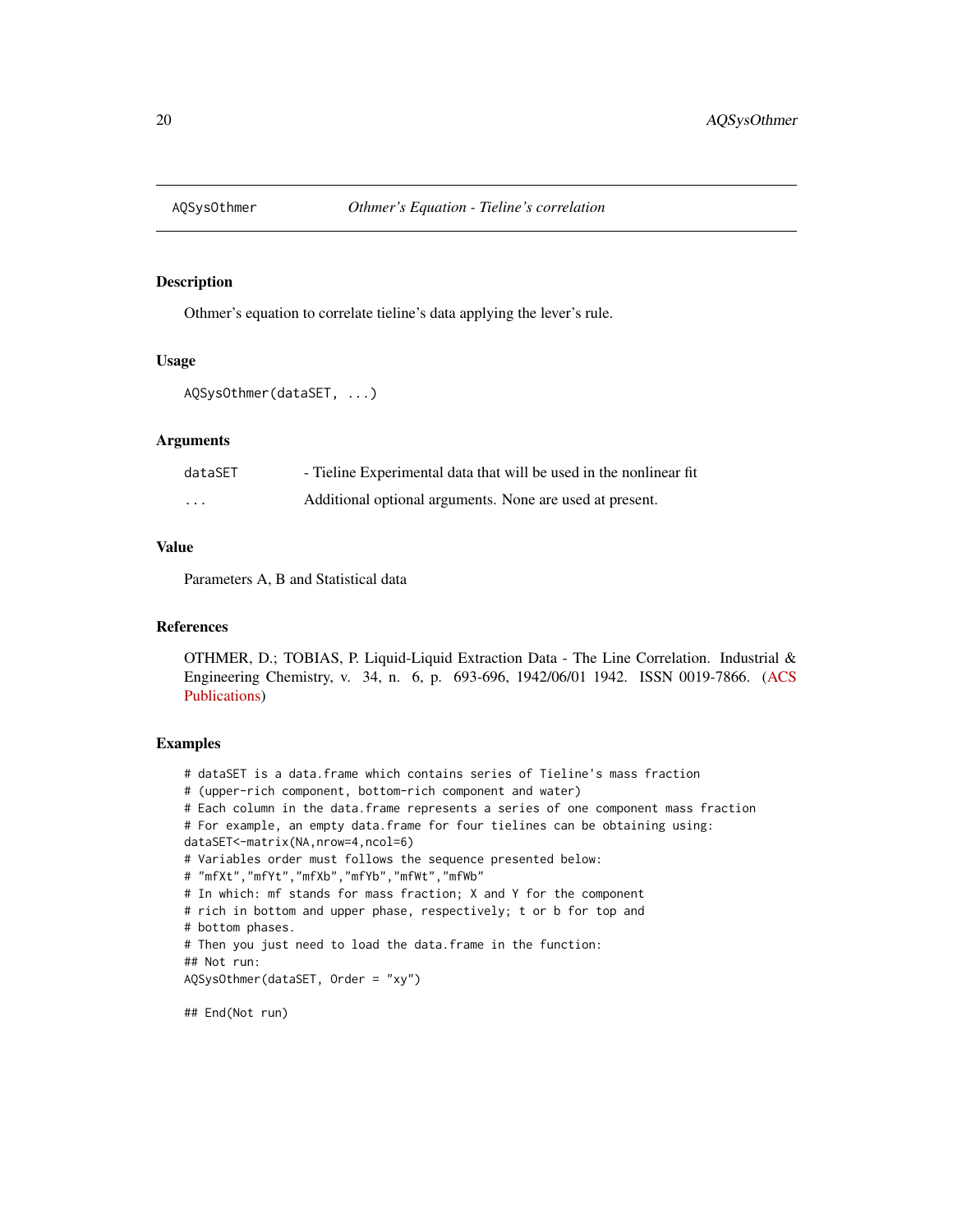<span id="page-19-1"></span><span id="page-19-0"></span>

## Description

Othmer's equation to correlate tieline's data applying the lever's rule.

#### Usage

```
AQSysOthmer(dataSET, ...)
```
#### Arguments

| dataSET                 | - Tieline Experimental data that will be used in the nonlinear fit |
|-------------------------|--------------------------------------------------------------------|
| $\cdot$ $\cdot$ $\cdot$ | Additional optional arguments. None are used at present.           |

## Value

Parameters A, B and Statistical data

#### References

OTHMER, D.; TOBIAS, P. Liquid-Liquid Extraction Data - The Line Correlation. Industrial & Engineering Chemistry, v. 34, n. 6, p. 693-696, 1942/06/01 1942. ISSN 0019-7866. [\(ACS](https://pubs.acs.org/doi/abs/10.1021/ie50390a600) [Publications\)](https://pubs.acs.org/doi/abs/10.1021/ie50390a600)

## Examples

```
# dataSET is a data.frame which contains series of Tieline's mass fraction
# (upper-rich component, bottom-rich component and water)
# Each column in the data.frame represents a series of one component mass fraction
# For example, an empty data.frame for four tielines can be obtaining using:
dataSET<-matrix(NA,nrow=4,ncol=6)
# Variables order must follows the sequence presented below:
# "mfXt","mfYt","mfXb","mfYb","mfWt","mfWb"
# In which: mf stands for mass fraction; X and Y for the component
# rich in bottom and upper phase, respectively; t or b for top and
# bottom phases.
# Then you just need to load the data.frame in the function:
## Not run:
AQSysOthmer(dataSET, Order = "xy")
```
## End(Not run)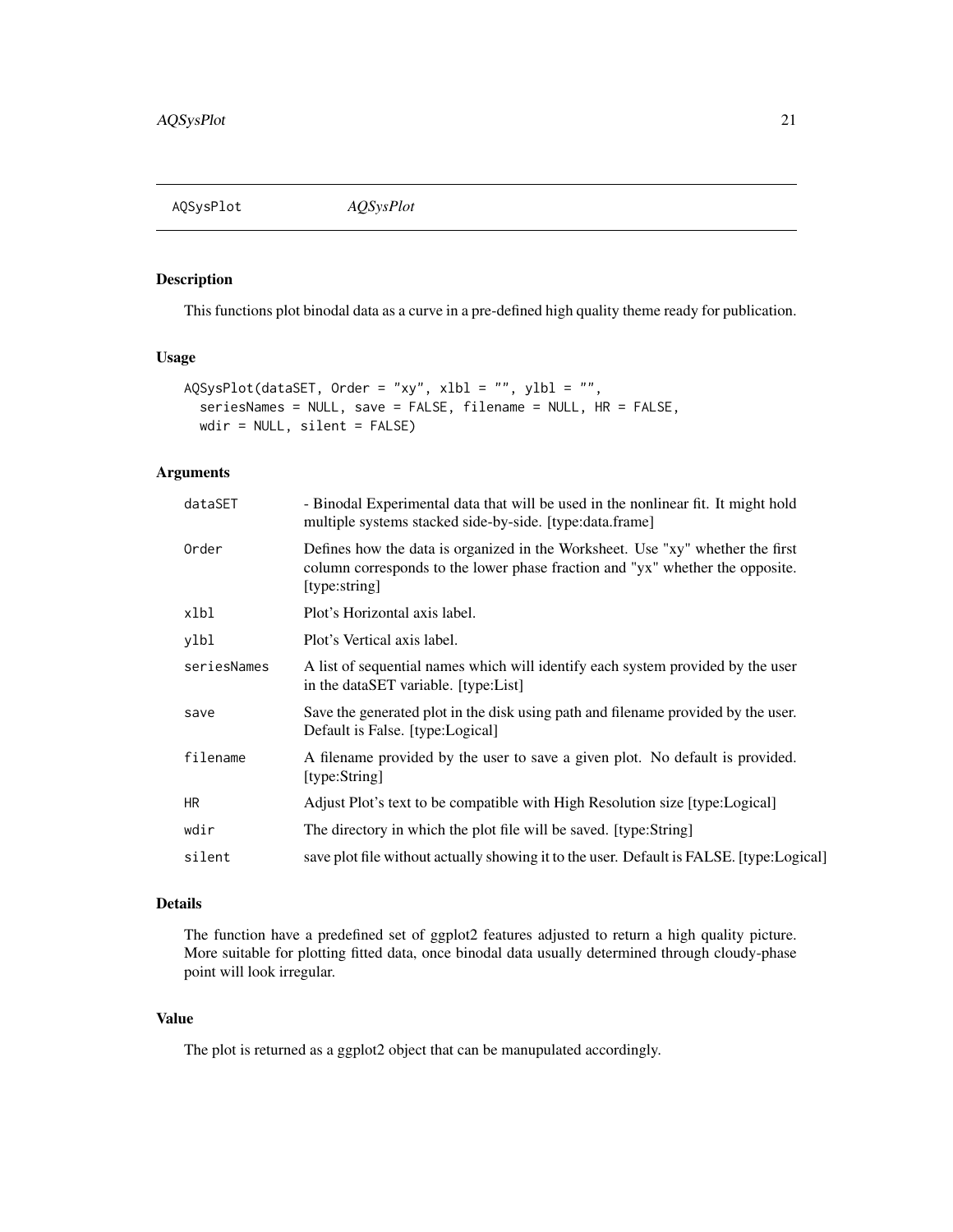<span id="page-20-0"></span>AQSysPlot *AQSysPlot*

## Description

This functions plot binodal data as a curve in a pre-defined high quality theme ready for publication.

## Usage

```
AQSysPlot(dataSET, Order = "xy", xlbl = "", ylbl = "",
  seriesNames = NULL, save = FALSE, filename = NULL, HR = FALSE,
 wdir = NULL, silent = FALSE)
```
## Arguments

| dataSET     | - Binodal Experimental data that will be used in the nonlinear fit. It might hold<br>multiple systems stacked side-by-side. [type:data.frame]                                    |
|-------------|----------------------------------------------------------------------------------------------------------------------------------------------------------------------------------|
| Order       | Defines how the data is organized in the Worksheet. Use "xy" whether the first<br>column corresponds to the lower phase fraction and "yx" whether the opposite.<br>[type:string] |
| xlbl        | Plot's Horizontal axis label.                                                                                                                                                    |
| ylbl        | Plot's Vertical axis label.                                                                                                                                                      |
| seriesNames | A list of sequential names which will identify each system provided by the user<br>in the dataSET variable. [type:List]                                                          |
| save        | Save the generated plot in the disk using path and filename provided by the user.<br>Default is False. [type:Logical]                                                            |
| filename    | A filename provided by the user to save a given plot. No default is provided.<br>[type:String]                                                                                   |
| <b>HR</b>   | Adjust Plot's text to be compatible with High Resolution size [type:Logical]                                                                                                     |
| wdir        | The directory in which the plot file will be saved. [type:String]                                                                                                                |
| silent      | save plot file without actually showing it to the user. Default is FALSE. [type:Logical]                                                                                         |
|             |                                                                                                                                                                                  |

## Details

The function have a predefined set of ggplot2 features adjusted to return a high quality picture. More suitable for plotting fitted data, once binodal data usually determined through cloudy-phase point will look irregular.

## Value

The plot is returned as a ggplot2 object that can be manupulated accordingly.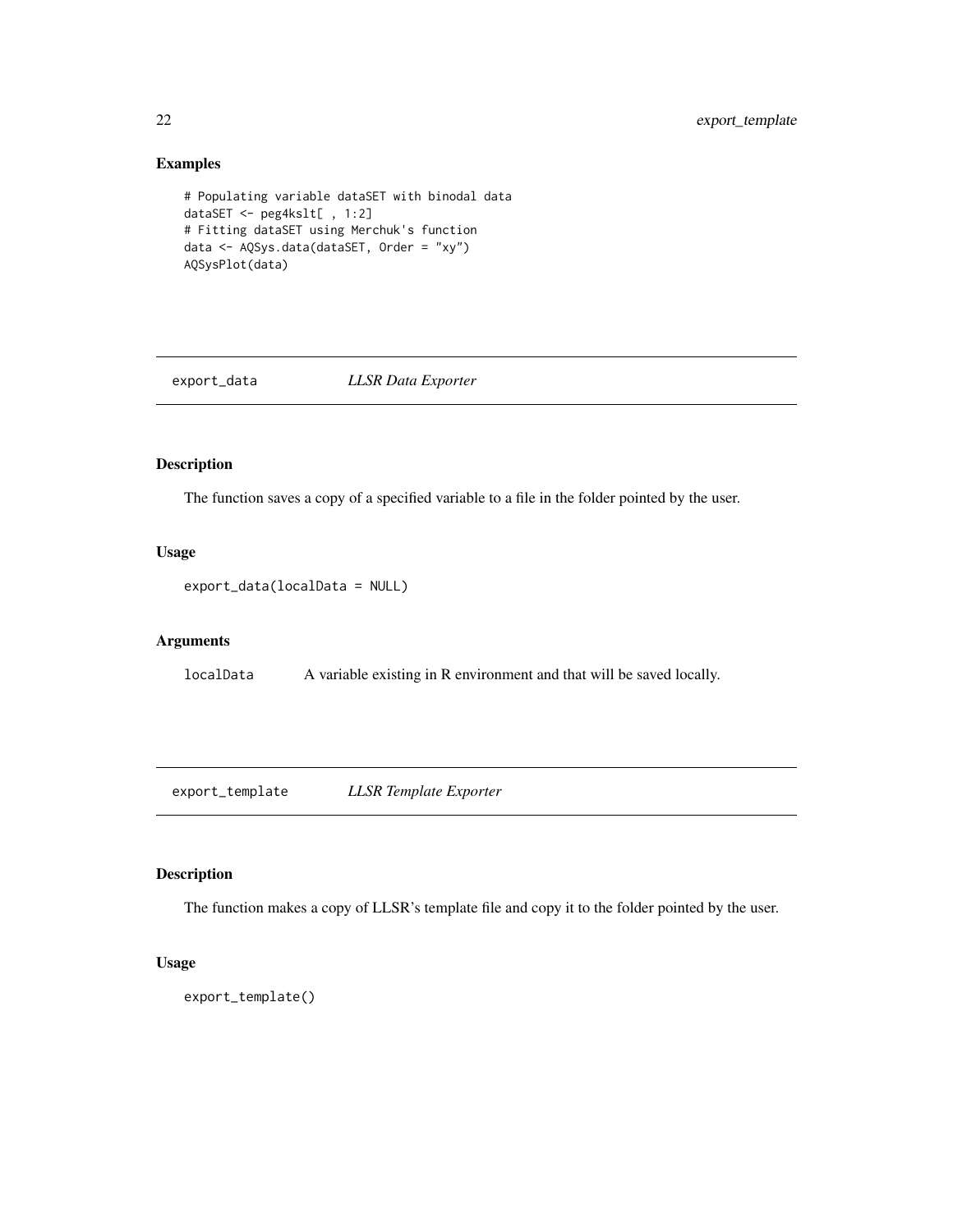## Examples

```
# Populating variable dataSET with binodal data
dataSET <- peg4kslt[ , 1:2]
# Fitting dataSET using Merchuk's function
data <- AQSys.data(dataSET, Order = "xy")
AQSysPlot(data)
```
export\_data *LLSR Data Exporter*

## Description

The function saves a copy of a specified variable to a file in the folder pointed by the user.

## Usage

export\_data(localData = NULL)

#### Arguments

localData A variable existing in R environment and that will be saved locally.

export\_template *LLSR Template Exporter*

#### Description

The function makes a copy of LLSR's template file and copy it to the folder pointed by the user.

```
export_template()
```
<span id="page-21-0"></span>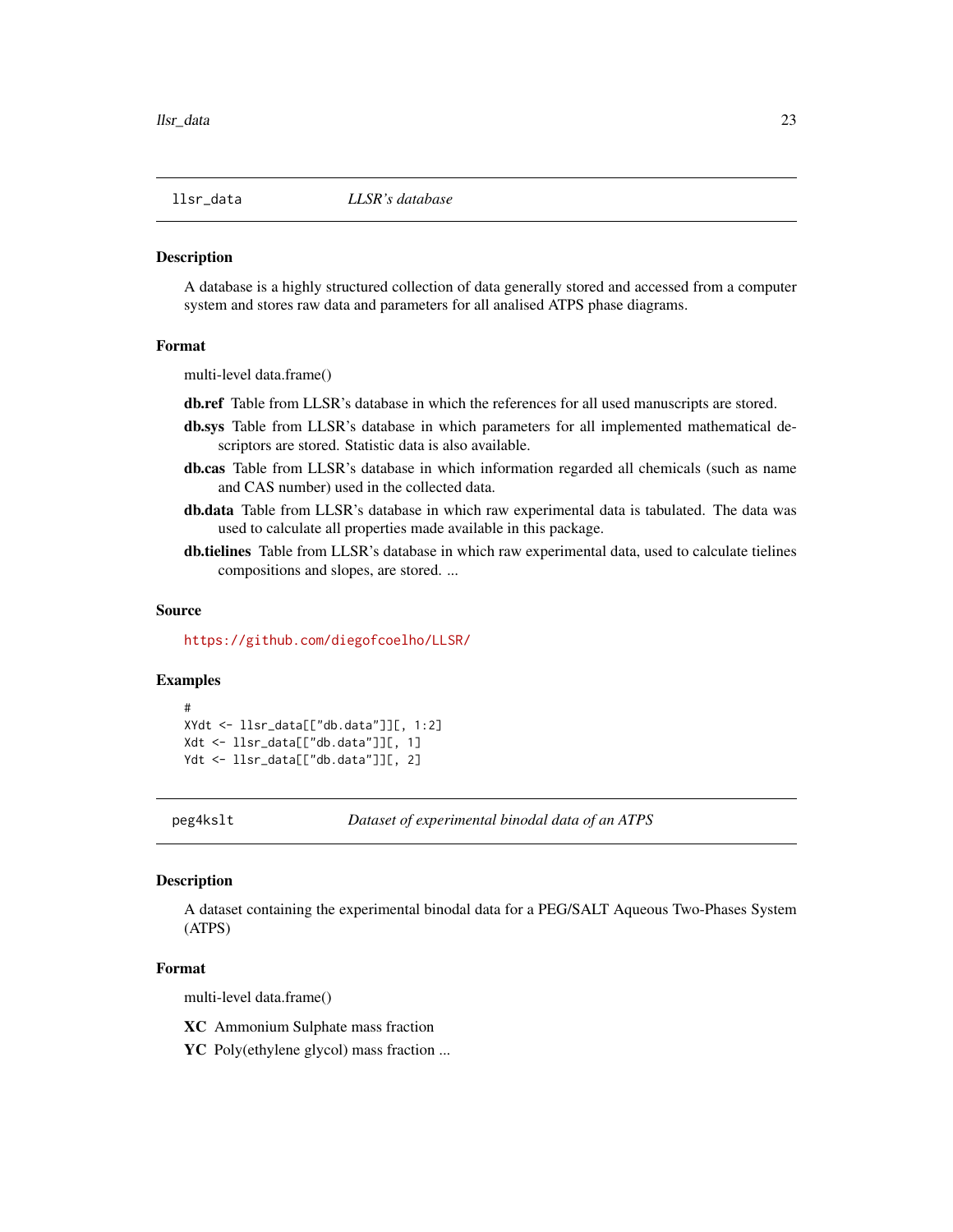<span id="page-22-0"></span>

#### Description

A database is a highly structured collection of data generally stored and accessed from a computer system and stores raw data and parameters for all analised ATPS phase diagrams.

#### Format

multi-level data.frame()

db.ref Table from LLSR's database in which the references for all used manuscripts are stored.

- db.sys Table from LLSR's database in which parameters for all implemented mathematical descriptors are stored. Statistic data is also available.
- db.cas Table from LLSR's database in which information regarded all chemicals (such as name and CAS number) used in the collected data.
- db.data Table from LLSR's database in which raw experimental data is tabulated. The data was used to calculate all properties made available in this package.
- db.tielines Table from LLSR's database in which raw experimental data, used to calculate tielines compositions and slopes, are stored. ...

#### Source

<https://github.com/diegofcoelho/LLSR/>

#### Examples

```
#
XYdt <- llsr_data[["db.data"]][, 1:2]
Xdt <- llsr_data[["db.data"]][, 1]
Ydt <- llsr_data[["db.data"]][, 2]
```
peg4kslt *Dataset of experimental binodal data of an ATPS*

## Description

A dataset containing the experimental binodal data for a PEG/SALT Aqueous Two-Phases System (ATPS)

#### Format

multi-level data.frame()

XC Ammonium Sulphate mass fraction

YC Poly(ethylene glycol) mass fraction ...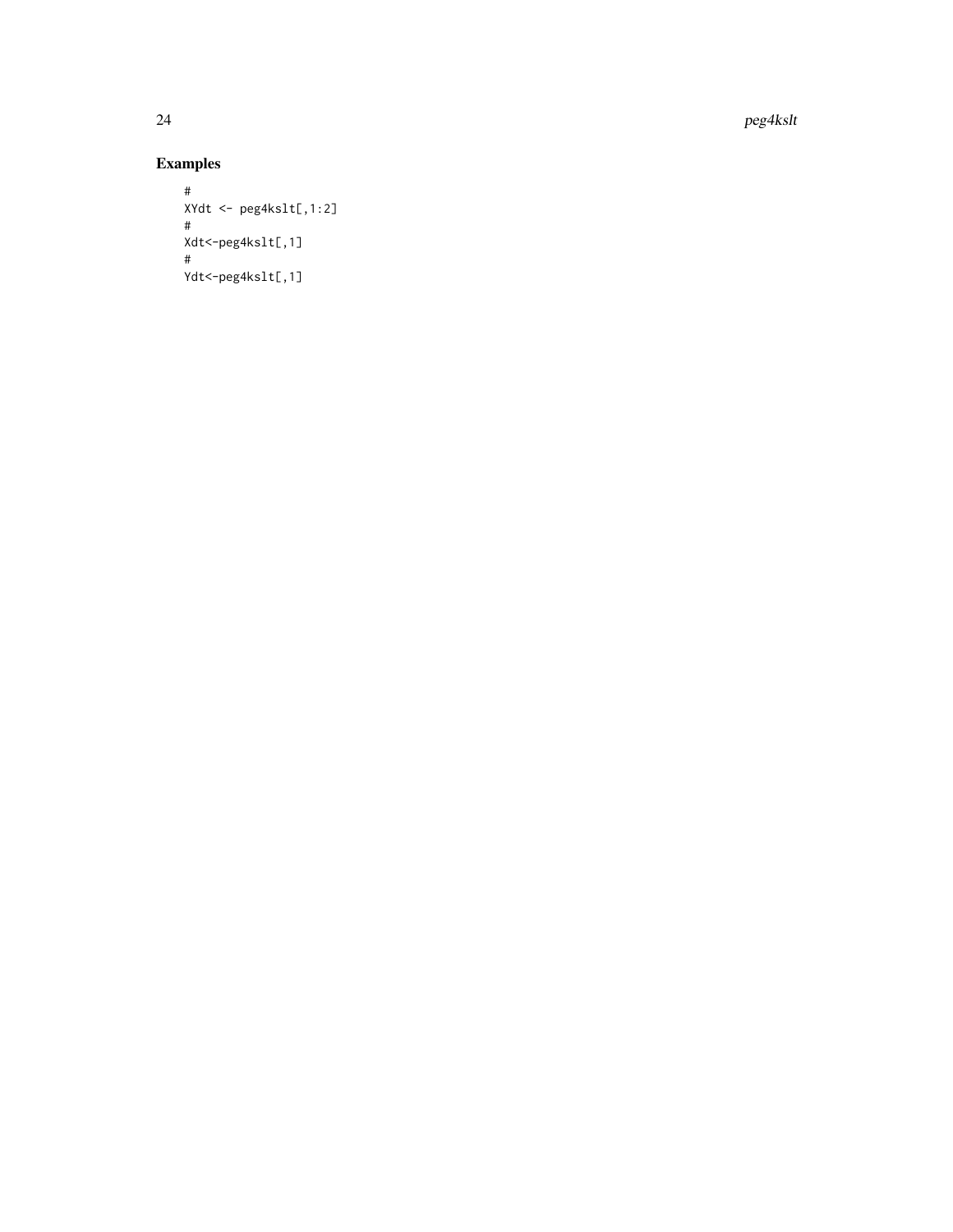24 peg4kslt

## Examples

```
#
XYdt <- peg4kslt[,1:2] #
Xdt<-peg4kslt[,1] #
Ydt<-peg4kslt[,1]
```